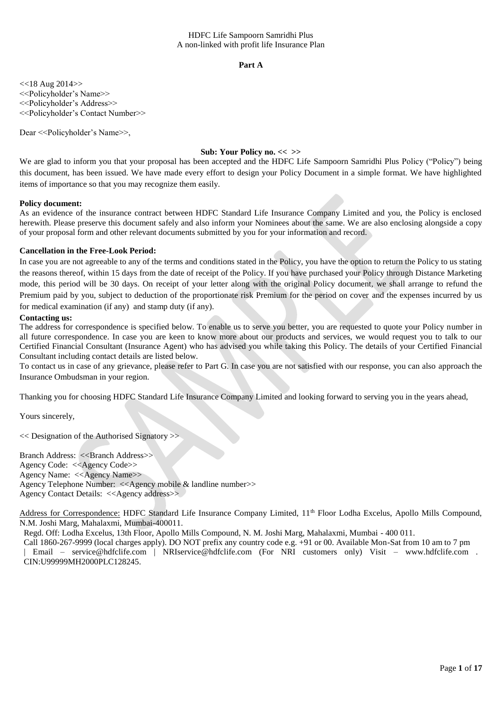### **Part A**

<<18 Aug 2014>> <<Policyholder's Name>> <<Policyholder's Address>> <<Policyholder's Contact Number>>

Dear << Policyholder's Name>>,

### **Sub: Your Policy no. << >>**

We are glad to inform you that your proposal has been accepted and the HDFC Life Sampoorn Samridhi Plus Policy ("Policy") being this document, has been issued. We have made every effort to design your Policy Document in a simple format. We have highlighted items of importance so that you may recognize them easily.

### **Policy document:**

As an evidence of the insurance contract between HDFC Standard Life Insurance Company Limited and you, the Policy is enclosed herewith. Please preserve this document safely and also inform your Nominees about the same. We are also enclosing alongside a copy of your proposal form and other relevant documents submitted by you for your information and record.

#### **Cancellation in the Free-Look Period:**

In case you are not agreeable to any of the terms and conditions stated in the Policy, you have the option to return the Policy to us stating the reasons thereof, within 15 days from the date of receipt of the Policy. If you have purchased your Policy through Distance Marketing mode, this period will be 30 days. On receipt of your letter along with the original Policy document, we shall arrange to refund the Premium paid by you, subject to deduction of the proportionate risk Premium for the period on cover and the expenses incurred by us for medical examination (if any) and stamp duty (if any).

#### **Contacting us:**

The address for correspondence is specified below. To enable us to serve you better, you are requested to quote your Policy number in all future correspondence. In case you are keen to know more about our products and services, we would request you to talk to our Certified Financial Consultant (Insurance Agent) who has advised you while taking this Policy. The details of your Certified Financial Consultant including contact details are listed below.

To contact us in case of any grievance, please refer to Part G. In case you are not satisfied with our response, you can also approach the Insurance Ombudsman in your region.

Thanking you for choosing HDFC Standard Life Insurance Company Limited and looking forward to serving you in the years ahead,

Yours sincerely,

<< Designation of the Authorised Signatory >>

Branch Address: <<Br/>Shanch Address>> Agency Code: <<Agency Code>> Agency Name: <<Agency Name>> Agency Telephone Number: <<Agency mobile & landline number>> Agency Contact Details: <<Agency address>>

Address for Correspondence: HDFC Standard Life Insurance Company Limited, 11<sup>th</sup> Floor Lodha Excelus, Apollo Mills Compound, N.M. Joshi Marg, Mahalaxmi, Mumbai-400011.

Regd. Off: Lodha Excelus, 13th Floor, Apollo Mills Compound, N. M. Joshi Marg, Mahalaxmi, Mumbai - 400 011.

Call 1860-267-9999 (local charges apply). DO NOT prefix any country code e.g. +91 or 00. Available Mon-Sat from 10 am to 7 pm | Email – service@hdfclife.com | NRIservice@hdfclife.com (For NRI customers only) Visit – www.hdfclife.com . CIN:U99999MH2000PLC128245.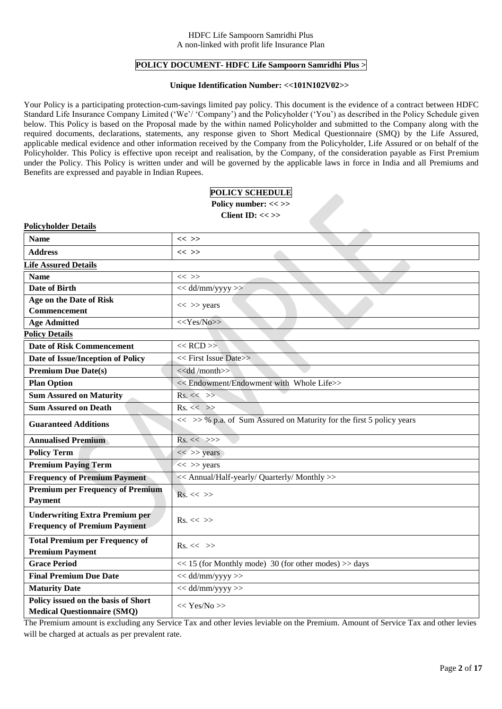## **POLICY DOCUMENT- HDFC Life Sampoorn Samridhi Plus >**

### **Unique Identification Number: <<101N102V02>>**

Your Policy is a participating protection-cum-savings limited pay policy. This document is the evidence of a contract between HDFC Standard Life Insurance Company Limited ('We'/ 'Company') and the Policyholder ('You') as described in the Policy Schedule given below. This Policy is based on the Proposal made by the within named Policyholder and submitted to the Company along with the required documents, declarations, statements, any response given to Short Medical Questionnaire (SMQ) by the Life Assured, applicable medical evidence and other information received by the Company from the Policyholder, Life Assured or on behalf of the Policyholder. This Policy is effective upon receipt and realisation, by the Company, of the consideration payable as First Premium under the Policy. This Policy is written under and will be governed by the applicable laws in force in India and all Premiums and Benefits are expressed and payable in Indian Rupees.

| POLICY SCHEDULE |
|-----------------|
|                 |

**Policy number: << >> Client ID: << >>**

| <b>Policyholder Details</b>                                                  |                                                                      |  |  |  |  |  |  |  |  |
|------------------------------------------------------------------------------|----------------------------------------------------------------------|--|--|--|--|--|--|--|--|
| <b>Name</b>                                                                  | $<<$ >>                                                              |  |  |  |  |  |  |  |  |
| <b>Address</b>                                                               | $<<$ >>                                                              |  |  |  |  |  |  |  |  |
| <b>Life Assured Details</b>                                                  |                                                                      |  |  |  |  |  |  |  |  |
| <b>Name</b>                                                                  | $<<$ >>                                                              |  |  |  |  |  |  |  |  |
| Date of Birth                                                                | $<<$ dd/mm/yyyy >>                                                   |  |  |  |  |  |  |  |  |
| Age on the Date of Risk                                                      | $<<$ >> years                                                        |  |  |  |  |  |  |  |  |
| <b>Commencement</b>                                                          |                                                                      |  |  |  |  |  |  |  |  |
| <b>Age Admitted</b>                                                          | < <yes no="">&gt;</yes>                                              |  |  |  |  |  |  |  |  |
| <b>Policy Details</b>                                                        |                                                                      |  |  |  |  |  |  |  |  |
| <b>Date of Risk Commencement</b>                                             | $<<$ RCD $>>$                                                        |  |  |  |  |  |  |  |  |
| Date of Issue/Inception of Policy                                            | << First Issue Date>>                                                |  |  |  |  |  |  |  |  |
| <b>Premium Due Date(s)</b>                                                   | < <dd month="">&gt;</dd>                                             |  |  |  |  |  |  |  |  |
| <b>Plan Option</b>                                                           | << Endowment/Endowment with Whole Life>>                             |  |  |  |  |  |  |  |  |
| <b>Sum Assured on Maturity</b>                                               | $Rs. \ll \gg$                                                        |  |  |  |  |  |  |  |  |
| <b>Sum Assured on Death</b>                                                  | $Rs. \ll \gg$                                                        |  |  |  |  |  |  |  |  |
| <b>Guaranteed Additions</b>                                                  | << >> % p.a. of Sum Assured on Maturity for the first 5 policy years |  |  |  |  |  |  |  |  |
| <b>Annualised Premium</b>                                                    | $Rs. \ll \gg>$                                                       |  |  |  |  |  |  |  |  |
| <b>Policy Term</b>                                                           | $<<$ >> years                                                        |  |  |  |  |  |  |  |  |
| <b>Premium Paying Term</b>                                                   | $<<$ >> years                                                        |  |  |  |  |  |  |  |  |
| <b>Frequency of Premium Payment</b>                                          | << Annual/Half-yearly/ Quarterly/ Monthly >>                         |  |  |  |  |  |  |  |  |
| <b>Premium per Frequency of Premium</b><br><b>Payment</b>                    | $Rs. \ll \gg$                                                        |  |  |  |  |  |  |  |  |
| <b>Underwriting Extra Premium per</b><br><b>Frequency of Premium Payment</b> | $\mathrm{Rs.} \ll \gg$                                               |  |  |  |  |  |  |  |  |
| <b>Total Premium per Frequency of</b><br><b>Premium Payment</b>              | $\mathrm{Rs.} \ll \gg$                                               |  |  |  |  |  |  |  |  |
| <b>Grace Period</b>                                                          | $<< 15$ (for Monthly mode) 30 (for other modes) $>>$ days            |  |  |  |  |  |  |  |  |
| <b>Final Premium Due Date</b>                                                | $<<$ dd/mm/yyyy >>                                                   |  |  |  |  |  |  |  |  |
| <b>Maturity Date</b>                                                         | $<<$ dd/mm/yyyy $>>$                                                 |  |  |  |  |  |  |  |  |
| Policy issued on the basis of Short<br><b>Medical Questionnaire (SMQ)</b>    | << Yes/No>>                                                          |  |  |  |  |  |  |  |  |

The Premium amount is excluding any Service Tax and other levies leviable on the Premium. Amount of Service Tax and other levies will be charged at actuals as per prevalent rate.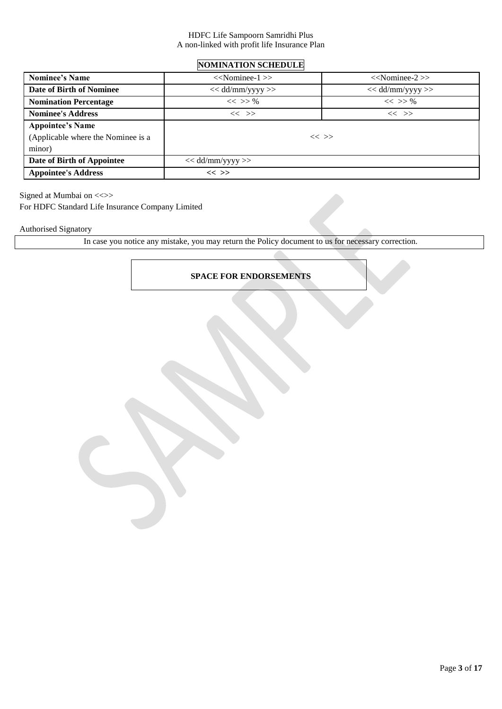# **NOMINATION SCHEDULE**

| <b>Nominee's Name</b>              | $<<$ Nominee-1 $>>$ | $<<$ Nominee-2 $>>$ |
|------------------------------------|---------------------|---------------------|
| Date of Birth of Nominee           | $<<$ dd/mm/yyyy >>  | $<<$ dd/mm/yyyy >>  |
| <b>Nomination Percentage</b>       | $<<$ >> %           | $<<$ >> %           |
| <b>Nominee's Address</b>           | $<<$ >>             | $<<$ >>             |
| <b>Appointee's Name</b>            |                     |                     |
| (Applicable where the Nominee is a |                     | $<<$ >>             |
| minor)                             |                     |                     |
| Date of Birth of Appointee         | $<<$ dd/mm/yyyy >>  |                     |
| <b>Appointee's Address</b>         | $<<$ >>             |                     |

Signed at Mumbai on <<>>

For HDFC Standard Life Insurance Company Limited

Authorised Signatory

In case you notice any mistake, you may return the Policy document to us for necessary correction.

# **SPACE FOR ENDORSEMENTS**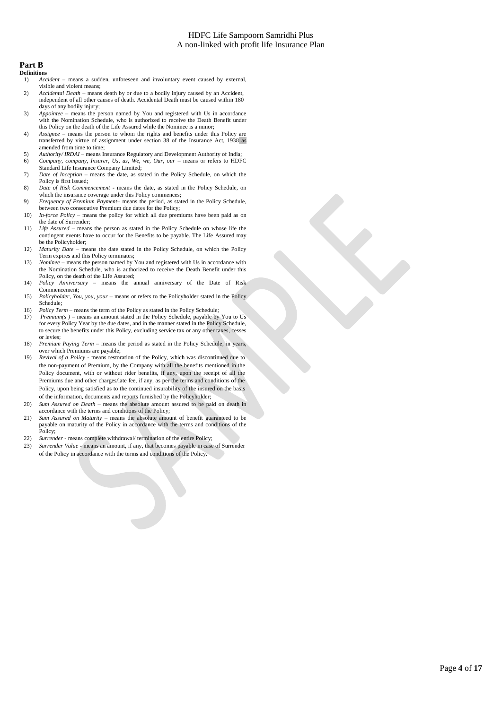#### **Part B**

#### **Definitions**

- 1) *Accident*  means a sudden, unforeseen and involuntary event caused by external, visible and violent means;
- 2) *Accidental Death*  means death by or due to a bodily injury caused by an Accident, independent of all other causes of death. Accidental Death must be caused within 180 days of any bodily injury;
- 3) *Appointee –* means the person named by You and registered with Us in accordance with the Nomination Schedule, who is authorized to receive the Death Benefit under this Policy on the death of the Life Assured while the Nominee is a minor;
- 4) *Assignee*  means the person to whom the rights and benefits under this Policy are transferred by virtue of assignment under section 38 of the Insurance Act, 1938 as amended from time to time;
- 5) *Authority/ IRDAI*  means Insurance Regulatory and Development Authority of India; 6) *Company, company, Insurer, Us, us, We, we, Our, our* – means or refers to HDFC
- Standard Life Insurance Company Limited; 7) *Date of Inception* – means the date, as stated in the Policy Schedule, on which the
- Policy is first issued; 8) *Date of Risk Commencement -* means the date, as stated in the Policy Schedule, on
- which the insurance coverage under this Policy commences; 9) *Frequency of Premium Payment*– means the period, as stated in the Policy Schedule,
- between two consecutive Premium due dates for the Policy;
- 10) *In-force Policy –* means the policy for which all due premiums have been paid as on the date of Surrender;
- 11) *Life Assured* means the person as stated in the Policy Schedule on whose life the contingent events have to occur for the Benefits to be payable. The Life Assured may be the Policyholder;
- 12) *Maturity Date* means the date stated in the Policy Schedule, on which the Policy Term expires and this Policy terminates;
- 13) *Nominee*  means the person named by You and registered with Us in accordance with the Nomination Schedule, who is authorized to receive the Death Benefit under this Policy, on the death of the Life Assured;
- 14) *Policy Anniversary*  means the annual anniversary of the Date of Risk Commencement;
- 15) *Policyholder, You, you, your* means or refers to the Policyholder stated in the Policy Schedule;
- 16) *Policy Term* means the term of the Policy as stated in the Policy Schedule;<br>17) *Premium(s)* means an amount stated in the Policy Schedule, payable by
- *Premium(s )* means an amount stated in the Policy Schedule, payable by You to Us for every Policy Year by the due dates, and in the manner stated in the Policy Schedule, to secure the benefits under this Policy, excluding service tax or any other taxes, cesses or levies;
- 18) *Premium Paying Term –* means the period as stated in the Policy Schedule, in years, over which Premiums are payable;
- 19) *Revival of a Policy*  means restoration of the Policy, which was discontinued due to the non-payment of Premium, by the Company with all the benefits mentioned in the Policy document, with or without rider benefits, if any, upon the receipt of all the Premiums due and other charges/late fee, if any, as per the terms and conditions of the Policy, upon being satisfied as to the continued insurability of the insured on the basis of the information, documents and reports furnished by the Policyholder;
- 20) *Sum Assured on Death*  means the absolute amount assured to be paid on death in accordance with the terms and conditions of the Policy;
- 21) *Sum Assured on Maturity* means the absolute amount of benefit guaranteed to be payable on maturity of the Policy in accordance with the terms and conditions of the Policy;
- 22) *Surrender*  means complete withdrawal/ termination of the entire Policy;
- 23) *Surrender Value*  means an amount, if any, that becomes payable in case of Surrender of the Policy in accordance with the terms and conditions of the Policy.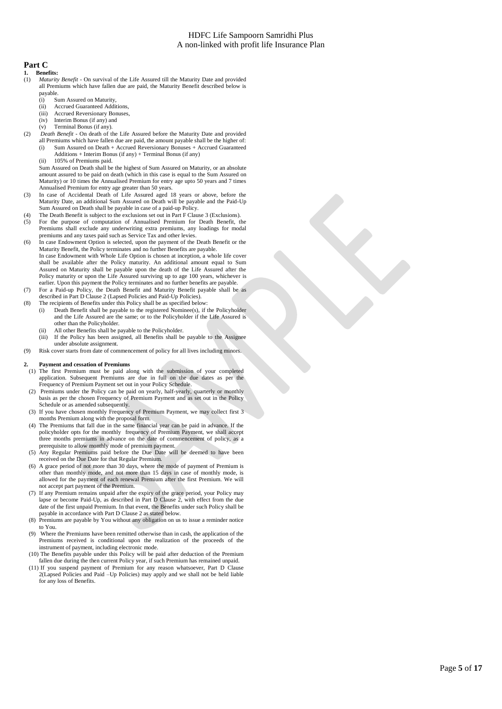### **Part C**

- **1. Benefits:** Maturity Benefit - On survival of the Life Assured till the Maturity Date and provided
- all Premiums which have fallen due are paid, the Maturity Benefit described below is payable.
	- (i) Sum Assured on Maturity,<br>(ii) Accrued Guaranteed Addi
	- Accrued Guaranteed Additions,
	- (iii) Accrued Reversionary Bonuses,
	- (iv) Interim Bonus (if any) and
	- (v) Terminal Bonus (if any).
- (2) *Death Benefit* On death of the Life Assured before the Maturity Date and provided all Premiums which have fallen due are paid, the amount payable shall be the higher of: (i) Sum Assured on Death + Accrued Reversionary Bonuses + Accrued Guaranteed
	- Additions + Interim Bonus (if any) + Terminal Bonus (if any)
	- (ii) 105% of Premiums paid.

Sum Assured on Death shall be the highest of Sum Assured on Maturity, or an absolute amount assured to be paid on death (which in this case is equal to the Sum Assured on Maturity) or 10 times the Annualised Premium for entry age upto 50 years and 7 times Annualised Premium for entry age greater than 50 years.

- (3) In case of Accidental Death of Life Assured aged 18 years or above, before the Maturity Date, an additional Sum Assured on Death will be payable and the Paid-Up Sum Assured on Death shall be payable in case of a paid-up Policy.
- (4) The Death Benefit is subject to the exclusions set out in Part F Clause 3 (Exclusions).
- (5) For the purpose of computation of Annualised Premium for Death Benefit, the Premiums shall exclude any underwriting extra premiums, any loadings for modal premiums and any taxes paid such as Service Tax and other levies.
- (6) In case Endowment Option is selected, upon the payment of the Death Benefit or the Maturity Benefit, the Policy terminates and no further Benefits are payable. In case Endowment with Whole Life Option is chosen at inception, a whole life cover shall be available after the Policy maturity. An additional amount equal to Sum Assured on Maturity shall be payable upon the death of the Life Assured after the Policy maturity or upon the Life Assured surviving up to age 100 years, whichever is earlier. Upon this payment the Policy terminates and no further benefits are payable.
- (7) For a Paid-up Policy, the Death Benefit and Maturity Benefit payable shall be as described in Part D Clause 2 (Lapsed Policies and Paid-Up Policies).
- (8) The recipients of Benefits under this Policy shall be as specified below:
	- (i) Death Benefit shall be payable to the registered Nominee(s), if the Policyholder and the Life Assured are the same; or to the Policyholder if the Life Assured is other than the Policyholder.
	- All other Benefits shall be payable to the Policyholder.
	- (iii) If the Policy has been assigned, all Benefits shall be payable to the Assignee under absolute assignment.
- (9) Risk cover starts from date of commencement of policy for all lives including minors.

#### **2. Payment and cessation of Premiums**

- (1) The first Premium must be paid along with the submission of your completed application. Subsequent Premiums are due in full on the due dates as per the Frequency of Premium Payment set out in your Policy Schedule.
- (2) Premiums under the Policy can be paid on yearly, half-yearly, quarterly or monthly basis as per the chosen Frequency of Premium Payment and as set out in the Policy Schedule or as amended subsequently.
- (3) If you have chosen monthly Frequency of Premium Payment, we may collect first 3 months Premium along with the proposal form.
- (4) The Premiums that fall due in the same financial year can be paid in advance. If the policyholder opts for the monthly frequency of Premium Payment, we shall accept three months premiums in advance on the date of commencement of policy, as a prerequisite to allow monthly mode of premium payment.
- (5) Any Regular Premiums paid before the Due Date will be deemed to have been received on the Due Date for that Regular Premium.
- (6) A grace period of not more than 30 days, where the mode of payment of Premium is other than monthly mode, and not more than 15 days in case of monthly mode, is allowed for the payment of each renewal Premium after the first Premium. We will not accept part payment of the Premium.
- (7) If any Premium remains unpaid after the expiry of the grace period, your Policy may lapse or become Paid-Up, as described in Part D Clause 2, with effect from the due date of the first unpaid Premium. In that event, the Benefits under such Policy shall be payable in accordance with Part D Clause 2 as stated below.
- (8) Premiums are payable by You without any obligation on us to issue a reminder notice to You.
- (9) Where the Premiums have been remitted otherwise than in cash, the application of the Premiums received is conditional upon the realization of the proceeds of the instrument of payment, including electronic mode.
- (10) The Benefits payable under this Policy will be paid after deduction of the Premium fallen due during the then current Policy year, if such Premium has remained unpaid.
- (11) If you suspend payment of Premium for any reason whatsoever, Part D Clause 2(Lapsed Policies and Paid –Up Policies) may apply and we shall not be held liable for any loss of Benefits.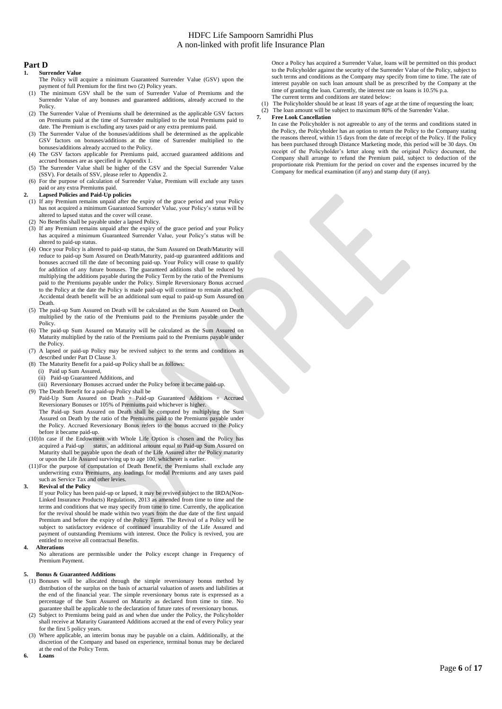#### **Part D**

- **1. Surrender Value**
- The Policy will acquire a minimum Guaranteed Surrender Value (GSV) upon the payment of full Premium for the first two (2) Policy years.
- (1) The minimum GSV shall be the sum of Surrender Value of Premiums and the Surrender Value of any bonuses and guaranteed additions, already accrued to the Policy.
- (2) The Surrender Value of Premiums shall be determined as the applicable GSV factors on Premiums paid at the time of Surrender multiplied to the total Premiums paid to date. The Premium is excluding any taxes paid or any extra premiums paid.
- (3) The Surrender Value of the bonuses/additions shall be determined as the applicable GSV factors on bonuses/additions at the time of Surrender multiplied to the bonuses/additions already accrued to the Policy.
- (4) The GSV factors applicable for Premiums paid, accrued guaranteed additions and accrued bonuses are as specified in Appendix 1.
- (5) The Surrender Value shall be higher of the GSV and the Special Surrender Value (SSV). For details of SSV, please refer to Appendix 2.
- (6) For the purpose of calculation of Surrender Value, Premium will exclude any taxes paid or any extra Premiums paid.

#### **2. Lapsed Policies and Paid-Up policies**

- (1) If any Premium remains unpaid after the expiry of the grace period and your Policy has not acquired a minimum Guaranteed Surrender Value, your Policy's status will be altered to lapsed status and the cover will cease.
- (2) No Benefits shall be payable under a lapsed Policy.
- (3) If any Premium remains unpaid after the expiry of the grace period and your Policy has acquired a minimum Guaranteed Surrender Value, your Policy's status will be altered to paid-up status.
- (4) Once your Policy is altered to paid-up status, the Sum Assured on Death/Maturity will reduce to paid-up Sum Assured on Death/Maturity, paid-up guaranteed additions and bonuses accrued till the date of becoming paid-up. Your Policy will cease to qualify for addition of any future bonuses. The guaranteed additions shall be reduced by multiplying the additions payable during the Policy Term by the ratio of the Premiums paid to the Premiums payable under the Policy. Simple Reversionary Bonus accrued to the Policy at the date the Policy is made paid-up will continue to remain attached. Accidental death benefit will be an additional sum equal to paid-up Sum Assured on Death.
- (5) The paid-up Sum Assured on Death will be calculated as the Sum Assured on Death multiplied by the ratio of the Premiums paid to the Premiums payable under the Policy.
- (6) The paid-up Sum Assured on Maturity will be calculated as the Sum Assured on Maturity multiplied by the ratio of the Premiums paid to the Premiums payable under the Policy.
- (7) A lapsed or paid-up Policy may be revived subject to the terms and conditions as described under Part D Clause 3.
- (8) The Maturity Benefit for a paid-up Policy shall be as follows:
	- (i) Paid up Sum Assured,
	- (ii) Paid-up Guaranteed Additions, and
- (iii) Reversionary Bonuses accrued under the Policy before it became paid-up.
- (9) The Death Benefit for a paid-up Policy shall be

Paid-Up Sum Assured on Death + Paid-up Guaranteed Additions + Accrued Reversionary Bonuses or 105% of Premiums paid whichever is higher.

The Paid-up Sum Assured on Death shall be computed by multiplying the Sum Assured on Death by the ratio of the Premiums paid to the Premiums payable under the Policy. Accrued Reversionary Bonus refers to the bonus accrued to the Policy before it became paid-up.

- (10)In case if the Endowment with Whole Life Option is chosen and the Policy has status, an additional amount equal to Paid-up Sum Assured on Maturity shall be payable upon the death of the Life Assured after the Policy maturity or upon the Life Assured surviving up to age 100, whichever is earlier.
- (11)For the purpose of computation of Death Benefit, the Premiums shall exclude any underwriting extra Premiums, any loadings for modal Premiums and any taxes paid such as Service Tax and other levies.

#### **3. Revival of the Policy**

If your Policy has been paid-up or lapsed, it may be revived subject to the IRDA(Non-Linked Insurance Products) Regulations, 2013 as amended from time to time and the terms and conditions that we may specify from time to time. Currently, the application for the revival should be made within two years from the due date of the first unpaid Premium and before the expiry of the Policy Term. The Revival of a Policy will be subject to satisfactory evidence of continued insurability of the Life Assured and payment of outstanding Premiums with interest. Once the Policy is revived, you are entitled to receive all contractual Benefits.

#### **4. Alterations**

No alterations are permissible under the Policy except change in Frequency of Premium Payment.

#### **5. Bonus & Guaranteed Additions**

- (1) Bonuses will be allocated through the simple reversionary bonus method by distribution of the surplus on the basis of actuarial valuation of assets and liabilities at the end of the financial year. The simple reversionary bonus rate is expressed as a percentage of the Sum Assured on Maturity as declared from time to time. No guarantee shall be applicable to the declaration of future rates of reversionary bonus.
- (2) Subject to Premiums being paid as and when due under the Policy, the Policyholder shall receive at Maturity Guaranteed Additions accrued at the end of every Policy year for the first 5 policy years.
- (3) Where applicable, an interim bonus may be payable on a claim. Additionally, at the discretion of the Company and based on experience, terminal bonus may be declared at the end of the Policy Term.
- **6. Loans**

Once a Policy has acquired a Surrender Value, loans will be permitted on this product to the Policyholder against the security of the Surrender Value of the Policy, subject to such terms and conditions as the Company may specify from time to time. The rate of interest payable on such loan amount shall be as prescribed by the Company at the time of granting the loan. Currently, the interest rate on loans is 10.5% p.a. The current terms and conditions are stated below:

(1) The Policyholder should be at least 18 years of age at the time of requesting the loan; (2) The loan amount will be subject to maximum 80% of the Surrender Value.<br>  $7.$  Free Look Cancellation

#### **7. Free Look Cancellation**

In case the Policyholder is not agreeable to any of the terms and conditions stated in the Policy, the Policyholder has an option to return the Policy to the Company stating the reasons thereof, within 15 days from the date of receipt of the Policy. If the Policy has been purchased through Distance Marketing mode, this period will be 30 days. On receipt of the Policyholder's letter along with the original Policy document, the Company shall arrange to refund the Premium paid, subject to deduction of the proportionate risk Premium for the period on cover and the expenses incurred by the Company for medical examination (if any) and stamp duty (if any).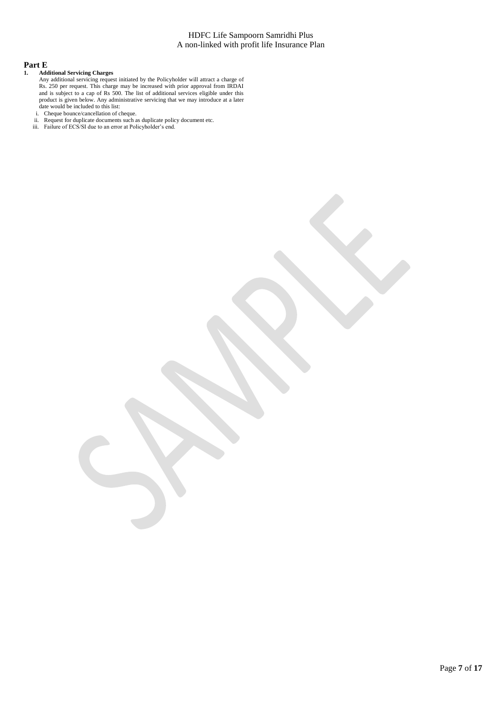# **Part E**<br>1. Add

#### **1. Additional Servicing Charges**

- Any additional servicing request initiated by the Policyholder will attract a charge of Rs. 250 per request. This charge may be increased with prior approval from IRDAI and is subject to a cap of Rs 500. The list of additional services eligible under this product is given below. Any administrative servicing that we may introduce at a later date would be included to this list:
- i. Cheque bounce/cancellation of cheque.
- ii. Request for duplicate documents such as duplicate policy document etc.
- iii. Failure of ECS/SI due to an error at Policyholder's end.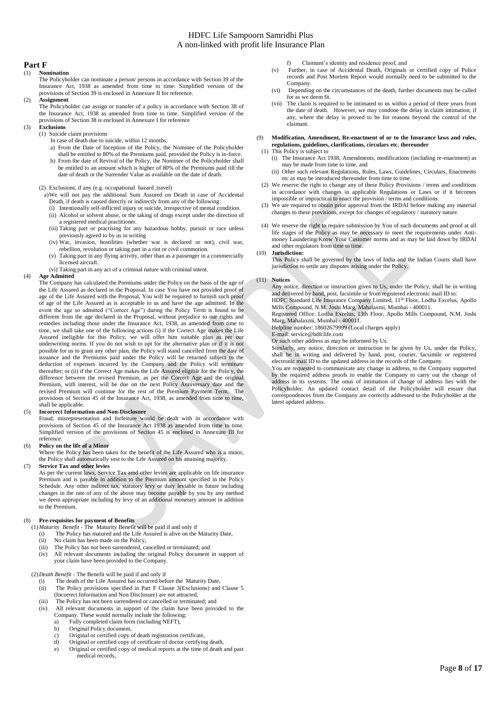#### **Part F**

### (1) **Nomination**

- The Policyholder can nominate a person/ persons in accordance with Section 39 of the Insurance Act, 1938 as amended from time to time. Simplified version of the provisions of Section 39 is enclosed in Annexure II for reference.
- (2) **Assignment**
	- The Policyholder can assign or transfer of a policy in accordance with Section 38 of the Insurance Act, 1938 as amended from time to time. Simplified version of the provisions of Section 38 is enclosed in Annexure I for reference
- (3) **Exclusions**
	- (1) Suicide claim provisions
		- In case of death due to suicide, within 12 months;
		- a) From the Date of Inception of the Policy, the Nominee of the Policyholder shall be entitled to 80% of the Premiums paid, provided the Policy is in-force.
		- b) From the date of Revival of the Policy, the Nominee of the Policyholder shall be entitled to an amount which is higher of 80% of the Premiums paid till the date of death or the Surrender Value as available on the date of death.
	- (2) Exclusions, if any (e.g. occupational hazard ,travel)
	- a)We will not pay the additional Sum Assured on Death in case of Accidental Death, if death is caused directly or indirectly from any of the following:
		- (i) Intentionally self-inflicted injury or suicide, irrespective of mental condition. (ii) Alcohol or solvent abuse, or the taking of drugs except under the direction of
		- a registered medical practitioner. (iii) Taking part or practising for any hazardous hobby, pursuit or race unless
		- previously agreed to by us in writing (iv) War, invasion, hostilities (whether war is declared or not), civil war,
		- rebellion, revolution or taking part in a riot or civil commotion. (v) Taking part in any flying activity, other than as a passenger in a commercially licensed aircraft.
	- (vi) Taking part in any act of a criminal nature with criminal intent.
- (4) **Age Admitted**
	- The Company has calculated the Premiums under the Policy on the basis of the age of the Life Assured as declared in the Proposal. In case You have not provided proof of age of the Life Assured with the Proposal, You will be required to furnish such proof of age of the Life Assured as is acceptable to us and have the age admitted. In the event the age so admitted ("Correct Age") during the Policy Term is found to be different from the age declared in the Proposal, without prejudice to our rights and remedies including those under the Insurance Act, 1938, as amended from time to time, we shall take one of the following actions (i) if the Correct Age makes the Life Assured ineligible for this Policy, we will offer him suitable plan as per our underwriting norms. If you do not wish to opt for the alternative plan or if it is not possible for us to grant any other plan, the Policy will stand cancelled from the date of issuance and the Premiums paid under the Policy will be returned subject to the deduction of expenses incurred by the Company and the Policy will terminate thereafter; or (ii) if the Correct Age makes the Life Assured eligible for the Policy, the difference between the revised Premium, as per the Correct Age and the original Premium, with interest, will be due on the next Policy Anniversary date and the revised Premium will continue for the rest of the Premium Payment Term. The provisions of Section 45 of the Insurance Act, 1938, as amended from time to time, shall be applicable.

#### (5) **Incorrect Information and Non-Disclosure**

Fraud, misrepresentation and forfeiture would be dealt with in accordance with provisions of Section 45 of the Insurance Act 1938 as amended from time to time. Simplified version of the provisions of Section 45 is enclosed in Annexure III for reference.

#### (6) **Policy on the life of a Minor**

Where the Policy has been taken for the benefit of the Life Assured who is a minor, the Policy shall automatically vest to the Life Assured on his attaining majority.

#### (7) **Service Tax and other levies**

As per the current laws, Service Tax amd other levies are applicable on life insurance Premium and is payable in addition to the Premium amount specified in the Policy Schedule. Any other indirect tax, statutory levy or duty leviable in future including changes in the rate of any of the above may become payable by you by any method we deem appropriate including by levy of an additional monetary amount in addition to the Premium.

#### (8) **Pre-requisites for payment of Benefits**

(1)*Maturity Benefit* - The Maturity Benefit will be paid if and only if

- (i) The Policy has matured and the Life Assured is alive on the Maturity Date,
- (ii) No claim has been made on the Policy,
- (iii) The Policy has not been surrendered, cancelled or terminated; and
- (iv) All relevant documents including the original Policy document in support of your claim have been provided to the Company.

#### (2)*Death Benefit -* The Benefit will be paid if and only if

- (i) The death of the Life Assured has occurred before the Maturity Date,
- (ii) The Policy provisions specified in Part F Clause 3(Exclusions) and Clause 5 (Incorrect Information and Non Disclosure) are not attracted,
- (iii) The Policy has not been surrendered or cancelled or terminated; and
- (iv) All relevant documents in support of the claim have been provided to the Company. These would normally include the following:
	- a) Fully completed claim form (including NEFT),<br>b) Original Policy document.
	- b) Original Policy document,
	- c) Original or certified copy of death registration certificate,<br>d) Original or certified copy of certificate of doctor certifyin
	- Original or certified copy of certificate of doctor certifying death, e) Original or certified copy of medical reports at the time of death and past medical records,
- f) Claimant's identity and residence proof, and
- (v) Further, in case of Accidental Death, Originals or certified copy of Police records and Post Mortem Report would normally need to be submitted to the Company.
- (vi) Depending on the circumstances of the death, further documents may be called for as we deem fit.
- (vii) The claim is required to be intimated to us within a period of three years from the date of death. However, we may condone the delay in claim intimation, if any, where the delay is proved to be for reasons beyond the control of the claimant.
- (9) **Modification, Amendment, Re-enactment of or to the Insurance laws and rules, regulations, guidelines, clarifications, circulars etc. thereunder** 
	- (1) This Policy is subject to (i) The Insurance Act 1938, Amendments, modifications (including re-enactment) as may be made from time to time, and
	- (ii) Other such relevant Regulations, Rules, Laws, Guidelines, Circulars, Enactments etc as may be introduced thereunder from time to time
	- (2) We reserve the right to change any of these Policy Provisions / terms and conditions in accordance with changes in applicable Regulations or Laws or if it becomes impossible or impractical to enact the provision / terms and conditions.
	- We are required to obtain prior approval from the IRDAI before making any material changes to these provisions, except for changes of regulatory / statutory nature.
	- We reserve the right to require submission by You of such documents and proof at all life stages of the Policy as may be necessary to meet the requirements under Antimoney Laundering/Know Your Customer norms and as may be laid down by IRDAI and other regulators from time to time.
- (10) **Jurisdiction:** 
	- This Policy shall be governed by the laws of India and the Indian Courts shall have jurisdiction to settle any disputes arising under the Policy.

#### (11) **Notices**

Any notice, direction or instruction given to Us, under the Policy, shall be in writing and delivered by hand, post, facsimile or from registered electronic mail ID to: HDFC Standard Life Insurance Company Limited, 11<sup>th</sup> Floor, Lodha Excelus, Apollo Mills Compound, N.M. Joshi Marg, Mahalaxmi, Mumbai - 400011.

Registered Office: Lodha Excelus, 13th Floor, Apollo Mills Compound, N.M. Joshi Marg, Mahalaxmi, Mumbai - 400011.

Helpline number: 18602679999 (Local charges apply)

E-mail[: service@hdfclife.com](mailto:service@hdfclife.com)

Or such other address as may be informed by Us.

Similarly, any notice, direction or instruction to be given by Us, under the Policy, shall be in writing and delivered by hand, post, courier, facsimile or registered electronic mail ID to the updated address in the records of the Company.

You are requested to communicate any change in address, to the Company supported by the required address proofs to enable the Company to carry out the change of address in its systems. The onus of intimation of change of address lies with the Policyholder. An updated contact detail of the Policyholder will ensure that correspondences from the Company are correctly addressed to the Policyholder at the latest updated address.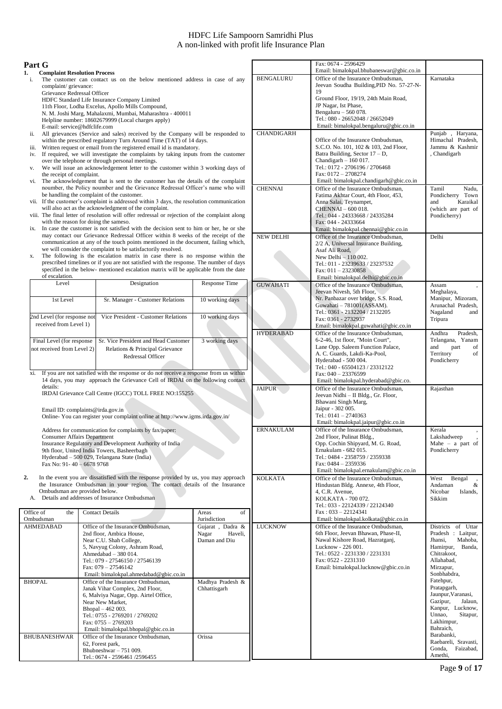#### **Part G**

- **1. Complaint Resolution Process**  The customer can contact us on the below mentioned address in case of any complaint/ grievance: Grievance Redressal Officer
	- HDFC Standard Life Insurance Company Limited 11th Floor, Lodha Excelus, Apollo Mills Compound, N. M. Joshi Marg, Mahalaxmi, Mumbai, Maharashtra - 400011 Helpline number: 18602679999 (Local charges apply)
	- E-mail: service@hdfclife.com ii. All grievances (Service and sales) received by the Company will be responded to within the prescribed regulatory Turn Around Time (TAT) of 14 days.
	- iii. Written request or email from the registered email id is mandatory.
- iv. If required, we will investigate the complaints by taking inputs from the customer over the telephone or through personal meetings. v. We will issue an acknowledgement letter to the customer within 3 working days of
- the receipt of complaint. vi. The acknowledgement that is sent to the customer has the details of the complaint
- noumber, the Policy noumber and the Grievance Redressal Officer's name who will be handling the complaint of the customer.
- vii. If the customer's complaint is addressed within 3 days, the resolution communication will also act as the acknowledgment of the complaint.
- viii. The final letter of resolution will offer redressal or rejection of the complaint along with the reason for doing the sameso.
- ix. In case the customer is not satisfied with the decision sent to him or her, he or she may contact our Grievance Redressal Officer within 8 weeks of the receipt of the communication at any of the touch points mentioned in the document, failing which, we will consider the complaint to be satisfactorily resolved.
- x. The following is the escalation matrix in case there is no response within the prescribed timelines or if you are not satisfied with the response. The number of days specified in the below- mentioned escalation matrix will be applicable from the date of escalation.

| Level                                                   | Designation                                                                                  | <b>Response Time</b> |
|---------------------------------------------------------|----------------------------------------------------------------------------------------------|----------------------|
| 1st Level                                               | Sr. Manager - Customer Relations                                                             | 10 working days      |
| 2nd Level (for response not<br>received from Level 1)   | Vice President - Customer Relations                                                          | 10 working days      |
| Final Level (for response<br>not received from Level 2) | Sr. Vice President and Head Customer<br>Relations & Principal Grievance<br>Redressal Officer | 3 working days       |

xi. If you are not satisfied with the response or do not receive a response from us within 14 days, you may approach the Grievance Cell of IRDAI on the following contact details:

IRDAI Grievance Call Centre (IGCC) TOLL FREE NO:155255

Email ID: complaints@irda.gov.in

Online- You can register your complaint online at http://www.igms.irda.gov.in/

Address for communication for complaints by fax/paper: Consumer Affairs Department Insurance Regulatory and Development Authority of India 9th floor, United India Towers, Basheerbagh Hyderabad – 500 029, Telangana State (India) Fax No: 91- 40 – 6678 9768

- **2.** In the event you are dissatisfied with the response provided by us, you may approach the Insurance Ombudsman in your region. The contact details of the Insurance Ombudsman are provided below.
- A. Details and addresses of Insurance Ombudsman Office of the Ombudsman Contact Details Areas Areas Areas Areas Areas Areas Areas Areas Areas Areas Areas Areas Areas Areas Areas Areas Areas Areas Areas Areas Areas Areas Areas Areas Areas Areas Areas Areas Areas Areas Areas Areas Areas Areas Ar Jurisdiction AHMEDABAD Office of the Insurance Ombudsman, 2nd floor, Ambica House, Near C.U. Shah College, 5, Navyug Colony, Ashram Road, Ahmedabad – 380 014. Tel.: 079 - 27546150 / 27546139 Fax: 079 – 27546142 Email: bimalokpal.ahmedabad@gbic.co.in Gujarat , Dadra & Nagar Haveli, Daman and Diu BHOPAL Office of the Insurance Ombudsman, Janak Vihar Complex, 2nd Floor, 6, Malviya Nagar, Opp. Airtel Office, Near New Market, Bhopal – 462 003. Tel.: 0755 - 2769201 / 2769202 Fax: 0755 – 2769203 Email: bimalokpal.bhopal@gbic.co.in Madhya Pradesh & Chhattisgarh BHUBANESHWAR Office of the Insurance Ombudsman, 62, Forest park, Bhubneshwar – 751 009. Tel.: 0674 - 2596461 /2596455 Orissa KOLKATA - 700 072. Tel.: 033 - 22124339 / 22124340 Fax : 033 – 22124341 Email: bimalokpal.kolkata@gbic.co.in Sikkim LUCKNOW **Office of the Insurance Ombudsman**, 6th Floor, Jeevan Bhawan, Phase-II, Nawal Kishore Road, Hazratganj, Lucknow - 226 001. Tel.: 0522 - 2231330 / 2231331 Fax: 0522 - 2231310 Email: bimalokpal.lucknow@gbic.co.in Chitrakoot, Allahabad, Mirzapur, Sonbhabdra, Fatehpur, Pratapgarh, Lakhimpur, Bahraich, Barabanki, Gonda, Faizabad, Amethi,

|                   | Fax: 0674 - 2596429                                                            |                                          |
|-------------------|--------------------------------------------------------------------------------|------------------------------------------|
| <b>BENGALURU</b>  | Email: bimalokpal.bhubaneswar@gbic.co.in<br>Office of the Insurance Ombudsman, | Karnataka                                |
|                   | Jeevan Soudha Building, PID No. 57-27-N-                                       |                                          |
|                   | 19                                                                             |                                          |
|                   | Ground Floor, 19/19, 24th Main Road,<br>JP Nagar, Ist Phase,                   |                                          |
|                   | Bengaluru - 560 078.                                                           |                                          |
|                   | Tel.: 080 - 26652048 / 26652049                                                |                                          |
|                   | Email: bimalokpal.bengaluru@gbic.co.in                                         |                                          |
| <b>CHANDIGARH</b> | Office of the Insurance Ombudsman,                                             | Punjab, Haryana,<br>Himachal Pradesh,    |
|                   | S.C.O. No. 101, 102 & 103, 2nd Floor,                                          | Jammu & Kashmir                          |
|                   | Batra Building, Sector 17 - D,                                                 | , Chandigarh                             |
|                   | Chandigarh $-160017$ .<br>Tel.: 0172 - 2706196 / 2706468                       |                                          |
|                   | Fax: 0172 - 2708274                                                            |                                          |
|                   | Email: bimalokpal.chandigarh@gbic.co.in                                        |                                          |
| <b>CHENNAI</b>    | Office of the Insurance Ombudsman,                                             | Tamil<br>Nadu,                           |
|                   | Fatima Akhtar Court, 4th Floor, 453,                                           | Pondicherry Town                         |
|                   | Anna Salai, Teynampet,<br>CHENNAI - 600 018.                                   | Karaikal<br>and<br>(which are part of    |
|                   | Tel.: 044 - 24333668 / 24335284                                                | Pondicherry)                             |
|                   | Fax: 044 - 24333664                                                            |                                          |
|                   | Email: bimalokpal.chennai@gbic.co.in                                           | Delhi                                    |
| <b>NEW DELHI</b>  | Office of the Insurance Ombudsman,<br>2/2 A, Universal Insurance Building,     |                                          |
|                   | Asaf Ali Road.                                                                 |                                          |
|                   | New Delhi $-110002$ .                                                          |                                          |
|                   | Tel.: 011 - 23239633 / 23237532                                                |                                          |
|                   | Fax: $011 - 23230858$<br>Email: bimalokpal.delhi@gbic.co.in                    |                                          |
| <b>GUWAHATI</b>   | Office of the Insurance Ombudsman,                                             | Assam                                    |
|                   | Jeevan Nivesh, 5th Floor,                                                      | Meghalaya,                               |
|                   | Nr. Panbazar over bridge, S.S. Road,<br>Guwahati - 781001(ASSAM).              | Manipur, Mizoram,<br>Arunachal Pradesh,  |
|                   | Tel.: 0361 - 2132204 / 2132205                                                 | Nagaland<br>and                          |
|                   | Fax: 0361 - 2732937                                                            | Tripura                                  |
|                   | Email: bimalokpal.guwahati@gbic.co.in                                          |                                          |
| <b>HYDERABAD</b>  | Office of the Insurance Ombudsman,<br>6-2-46, 1st floor, "Moin Court",         | Andhra<br>Pradesh,<br>Telangana, Yanam   |
|                   | Lane Opp. Saleem Function Palace,                                              | and<br>part<br>of                        |
|                   | A. C. Guards, Lakdi-Ka-Pool,                                                   | Territory<br>of                          |
|                   | Hyderabad - 500 004.                                                           | Pondicherry                              |
|                   | Tel.: 040 - 65504123 / 23312122<br>Fax: $040 - 23376599$                       |                                          |
|                   | Email: bimalokpal.hyderabad@gbic.co.                                           |                                          |
| <b>JAIPUR</b>     | Office of the Insurance Ombudsman,                                             | Rajasthan                                |
|                   | Jeevan Nidhi - II Bldg., Gr. Floor,<br>Bhawani Singh Marg,                     |                                          |
|                   | Jaipur - 302 005.                                                              |                                          |
|                   | Tel.: $0141 - 2740363$                                                         |                                          |
|                   | Email: bimalokpal.jaipur@gbic.co.in                                            |                                          |
| <b>ERNAKULAM</b>  | Office of the Insurance Ombudsman,<br>2nd Floor, Pulinat Bldg.,                | Kerala<br>Lakshadweep                    |
|                   | Opp. Cochin Shipyard, M. G. Road,                                              | Mahe $-$ a part of                       |
|                   | Ernakulam - 682 015.                                                           | Pondicherry                              |
|                   | Tel.: 0484 - 2358759 / 2359338<br>Fax: $0484 - 2359336$                        |                                          |
|                   | Email: bimalokpal.ernakulam@gbic.co.in                                         |                                          |
| <b>KOLKATA</b>    | Office of the Insurance Ombudsman,                                             | West<br>Bengal                           |
|                   | Hindustan Bldg. Annexe, 4th Floor,                                             | Andaman<br>&                             |
|                   | 4, C.R. Avenue,<br>KOLKATA - 700 072.                                          | Nicobar<br>Islands,<br>Sikkim            |
|                   | Tel.: 033 - 22124339 / 22124340                                                |                                          |
|                   | $Fax: 033 - 22124341$                                                          |                                          |
|                   | Email: bimalokpal.kolkata@gbic.co.in                                           |                                          |
| <b>LUCKNOW</b>    | Office of the Insurance Ombudsman,<br>6th Floor, Jeevan Bhawan, Phase-II,      | Districts of Uttar<br>Pradesh : Laitpur, |
|                   | Nawal Kishore Road, Hazratganj,                                                | Jhansi,<br>Mahoba,                       |
|                   | Lucknow - 226 001.                                                             | Hamirpur,<br>Banda,                      |
|                   | Tel.: 0522 - 2231330 / 2231331<br>Fax: 0522 - 2231310                          | Chitrakoot,<br>Allahabad,                |
|                   | Email: bimalokpal.lucknow@gbic.co.in                                           | Mirzapur,                                |
|                   |                                                                                | Sonbhabdra,                              |
|                   |                                                                                | Fatehpur,                                |
|                   |                                                                                | Pratapgarh,<br>Jaunpur, Varanasi,        |
|                   |                                                                                | Gazipur,<br>Jalaun,                      |
|                   |                                                                                | Kanpur, Lucknow,                         |
|                   |                                                                                | Unnao,<br>Sitapur,                       |
|                   |                                                                                | Lakhimpur,<br>Bahraich,                  |
|                   |                                                                                | Barabanki,                               |
|                   |                                                                                | Raebareli, Sravasti,                     |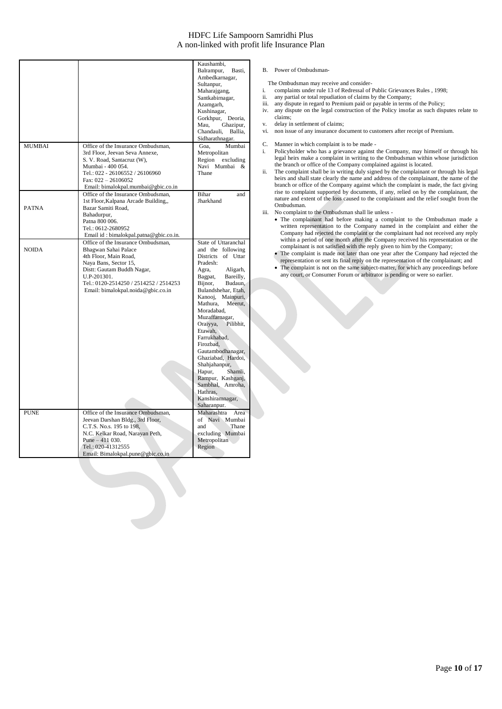|               |                                               | Kaushambi,                              |
|---------------|-----------------------------------------------|-----------------------------------------|
|               |                                               | Balrampur,<br>Basti,                    |
|               |                                               | Ambedkarnagar,                          |
|               |                                               | Sultanpur,                              |
|               |                                               | Maharajgang,<br>Santkabirnagar,         |
|               |                                               | Azamgarh,                               |
|               |                                               | Kushinagar,                             |
|               |                                               | Gorkhpur, Deoria,                       |
|               |                                               | Mau,<br>Ghazipur,                       |
|               |                                               | Ballia,<br>Chandauli,                   |
|               |                                               | Sidharathnagar.                         |
| <b>MUMBAI</b> | Office of the Insurance Ombudsman,            | Mumbai<br>Goa,                          |
|               | 3rd Floor, Jeevan Seva Annexe,                | Metropolitan                            |
|               | S. V. Road, Santacruz (W),                    | Region excluding                        |
|               | Mumbai - 400 054.                             | Navi Mumbai<br>&                        |
|               | Tel.: 022 - 26106552 / 26106960               | Thane                                   |
|               | Fax: $022 - 26106052$                         |                                         |
|               | Email: bimalokpal.mumbai@gbic.co.in           |                                         |
|               | Office of the Insurance Ombudsman,            | Bihar<br>and                            |
|               | 1st Floor, Kalpana Arcade Building,,          | Jharkhand                               |
| <b>PATNA</b>  | Bazar Samiti Road,                            |                                         |
|               | Bahadurpur,                                   |                                         |
|               | Patna 800 006.                                |                                         |
|               | Tel.: 0612-2680952                            |                                         |
|               | Email id: bimalokpal.patna@gbic.co.in.        |                                         |
|               | Office of the Insurance Ombudsman,            | State of Uttaranchal                    |
| <b>NOIDA</b>  | Bhagwan Sahai Palace<br>4th Floor, Main Road, | and the following<br>Districts of Uttar |
|               | Naya Bans, Sector 15,                         | Pradesh:                                |
|               | Distt: Gautam Buddh Nagar,                    | Agra,<br>Aligarh,                       |
|               | U.P-201301.                                   | Bagpat,<br>Bareilly,                    |
|               | Tel.: 0120-2514250 / 2514252 / 2514253        | Bijnor,<br>Budaun,                      |
|               | Email: bimalokpal.noida@gbic.co.in            | Bulandshehar, Etah,                     |
|               |                                               | Kanooj, Mainpuri,                       |
|               |                                               | Mathura,<br>Meerut,                     |
|               |                                               | Moradabad,                              |
|               |                                               | Muzaffarnagar,                          |
|               |                                               | Pilibhit,<br>Oraiyya,                   |
|               |                                               | Etawah.                                 |
|               |                                               | Farrukhabad,                            |
|               |                                               | Firozbad,                               |
|               |                                               | Gautambodhanagar,                       |
|               |                                               | Ghaziabad, Hardoi,                      |
|               |                                               | Shahjahanpur,<br>Hapur,<br>Shamli,      |
|               |                                               | Rampur, Kashganj,                       |
|               |                                               | Sambhal, Amroha,                        |
|               |                                               | Hathras,                                |
|               |                                               | Kanshiramnagar,                         |
|               |                                               | Saharanpur.                             |
| <b>PUNE</b>   | Office of the Insurance Ombudsman,            | Maharashtra<br>Area                     |
|               | Jeevan Darshan Bldg., 3rd Floor,              | of Navi Mumbai                          |
|               | C.T.S. No.s. 195 to 198.                      | Thane<br>and                            |
|               | N.C. Kelkar Road, Narayan Peth,               | excluding Mumbai                        |
|               | Pune $-411$ 030.                              | Metropolitan                            |
|               | Tel.: 020-41312555                            | Region                                  |
|               | Email: Bimalokpal.pune@gbic.co.in             |                                         |

#### B. Power of Ombudsman-

The Ombudsman may receive and consider-

- i. complaints under rule 13 of Redressal of Public Grievances Rules , 1998;
- ii. any partial or total repudiation of claims by the Company;
- iii. any dispute in regard to Premium paid or payable in terms of the Policy; iv. any dispute on the legal construction of the Policy insofar as such disputes relate to claims;
- v. delay in settlement of claims;
- vi. non issue of any insurance document to customers after receipt of Premium.
- C. Manner in which complaint is to be made -
- i. Policyholder who has a grievance against the Company, may himself or through his legal heirs make a complaint in writing to the Ombudsman within whose jurisdiction the branch or office of the Company complained against is located.
- ii. The complaint shall be in writing duly signed by the complainant or through his legal heirs and shall state clearly the name and address of the complainant, the name of the branch or office of the Company against which the complaint is made, the fact giving rise to complaint supported by documents, if any, relied on by the complainant, the nature and extent of the loss caused to the complainant and the relief sought from the Ombudsman.
- iii. No complaint to the Ombudsman shall lie unless
	- The complainant had before making a complaint to the Ombudsman made a written representation to the Company named in the complaint and either the Company had rejected the complaint or the complainant had not received any reply within a period of one month after the Company received his representation or the complainant is not satisfied with the reply given to him by the Company;
	- The complaint is made not later than one year after the Company had rejected the representation or sent its final reply on the representation of the complainant; and
	- The complaint is not on the same subject-matter, for which any proceedings before any court, or Consumer Forum or arbitrator is pending or were so earlier.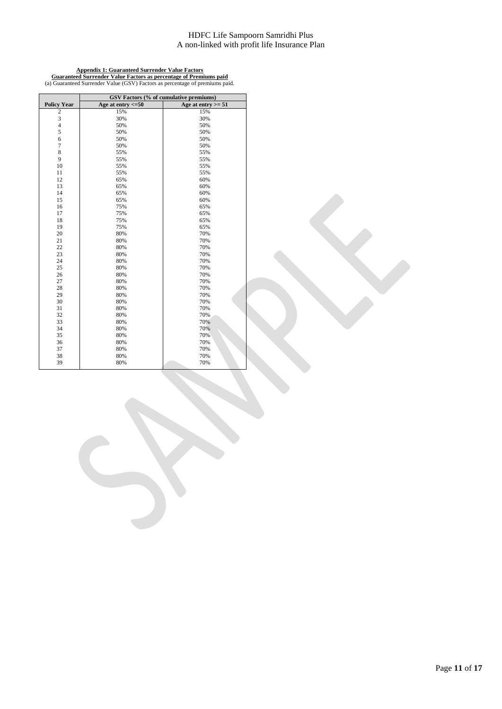### **Appendix 1: Guaranteed Surrender Value Factors Guaranteed Surrender Value Factors as percentage of Premiums paid** (a) Guaranteed Surrender Value (GSV) Factors as percentage of premiums paid.

|                         |                        | GSV Factors (% of cumulative premiums) |
|-------------------------|------------------------|----------------------------------------|
| <b>Policy Year</b>      | Age at entry $\leq 50$ | Age at entry $>= 51$                   |
| $\overline{\mathbf{c}}$ | 15%                    | 15%                                    |
| 3                       | 30%                    | 30%                                    |
| $\overline{\mathbf{4}}$ | 50%                    | 50%                                    |
| 5                       | 50%                    | 50%                                    |
| 6                       | 50%                    | 50%                                    |
| $\tau$                  | 50%                    | 50%                                    |
| 8                       | 55%                    | 55%                                    |
| 9                       | 55%                    | 55%                                    |
| 10                      | 55%                    | 55%                                    |
| 11                      | 55%                    | 55%                                    |
| 12                      | 65%                    | 60%                                    |
| 13                      | 65%                    | 60%                                    |
| 14                      | 65%                    | 60%                                    |
| 15                      | 65%                    | 60%                                    |
| 16                      | 75%                    | 65%                                    |
| 17                      | 75%                    | 65%                                    |
| 18                      | 75%                    | 65%                                    |
| 19                      | 75%                    | 65%                                    |
| 20                      | 80%                    | 70%                                    |
| 21                      | 80%                    | 70%                                    |
| 22                      | 80%                    | 70%                                    |
| 23                      | 80%                    | 70%                                    |
| 24                      | 80%                    | 70%                                    |
| 25                      | 80%                    | 70%                                    |
| 26                      | 80%                    | 70%                                    |
| 27                      | 80%                    | 70%                                    |
| 28                      | 80%                    | 70%                                    |
| 29                      | 80%                    | 70%                                    |
| 30                      | 80%                    | 70%                                    |
| 31                      | 80%                    | 70%                                    |
| 32                      | 80%                    | 70%                                    |
| 33                      | 80%                    | 70%                                    |
| 34                      | 80%                    | 70%                                    |
| 35                      | 80%                    | 70%                                    |
| 36                      | 80%                    | 70%                                    |
| 37                      | 80%                    | 70%                                    |
| 38                      | 80%                    | 70%                                    |
| 39                      | 80%                    | 70%                                    |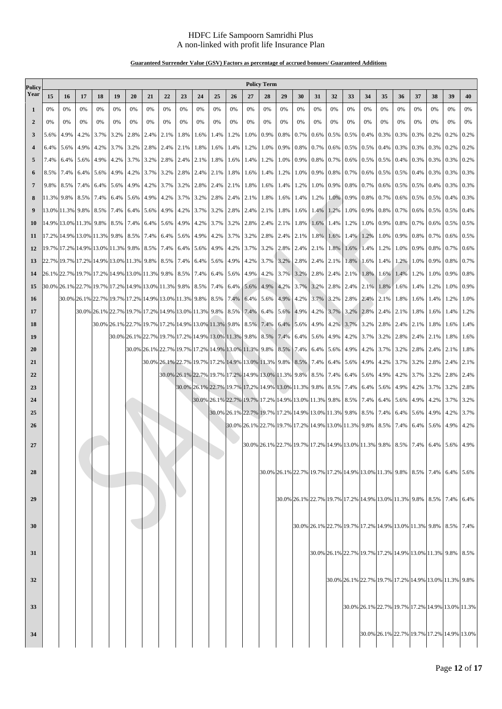### **Guaranteed Surrender Value (GSV) Factors as percentage of accrued bonuses/ Guaranteed Additions**

| Policy<br>Year<br>15<br>16<br>17<br>18<br>19<br>22<br>25<br>28<br>29<br>30<br>32<br>33<br>37<br>38<br>39<br>20<br>21<br>23<br>24<br>26<br>27<br>31<br>34<br>35<br>36<br>0%<br>0%<br>0%<br>0%<br>0%<br>0%<br>0%<br>0%<br>0%<br>0%<br>0%<br>0%<br>0%<br>0%<br>0%<br>0%<br>0%<br>0%<br>0%<br>0%<br>0%<br>0%<br>0%<br>0%<br>0%<br>1<br>$\overline{2}$<br>0%<br>0%<br>0%<br>0%<br>0%<br>0%<br>0%<br>0%<br>0%<br>0%<br>0%<br>0%<br>0%<br>0%<br>0%<br>0%<br>0%<br>0%<br>0%<br>0%<br>0%<br>0%<br>0%<br>0%<br>0%<br>5.6%<br>4.9%<br>3.7%<br>3.2%<br>2.8%<br>2.4%<br>0.9%<br>0.8%<br>0.7%<br>0.6%<br>0.5%<br>0.5%<br>0.3%<br>0.3%<br>0.3%<br>4.2%<br>2.1%<br>1.8%<br>1.6%<br>1.4%<br>1.2%<br>1.0%<br>0.4%<br>0.2%<br>0.2%<br>3<br>0.7%<br>0.3%<br>0.3%<br>6.4%<br>5.6%<br>4.9%<br>4.2%<br>3.7%<br>3.2%<br>2.8%<br>2.4%<br>2.1%<br>1.8%<br>1.6% 1.4%<br>1.2%<br>1.0%<br>0.9%<br>0.8%<br>0.6%<br>$0.5\%$ 0.5%<br>0.4%<br>0.3%<br>0.2%<br>5.6%<br>0.4%<br>5<br>7.4%<br>6.4%<br>4.9%<br>4.2%<br>3.7%<br>3.2%<br>2.8%<br>2.4%<br>2.1%<br>1.8% 1.6%<br>1.2%<br>1.0%<br>0.9%<br>0.8%<br>0.7%<br>$0.6\%$ 0.5%<br>0.5%<br>0.3%<br>0.3%<br>0.3%<br>1.4%<br>8.5%<br>0.9%<br>0.8%<br>0.5%<br>0.5%<br>0.3%<br>0.3%<br>7.4%<br>6.4%<br>5.6%<br>4.9%<br>4.2%<br>$3.7\%$ 3.2\% 2.8\% 2.4\%<br>2.1% 1.8%<br>1.4%<br>1.2%<br>1.0%<br>$0.7\%$ 0.6%<br>0.4%<br>1.6%<br>6<br>8.5%<br>7.4%<br>5.6%<br>4.9%<br>0.9%<br>0.8% 0.7%<br>0.6%<br>0.5%<br>0.5%<br>0.4%<br>$\overline{7}$<br>9.8%<br>6.4%<br>4.2%<br>3.7%<br>3.2% 2.8%<br>2.4% 2.1%<br>1.8%<br>1.6%<br>1.4%<br>1.2%<br>1.0%<br>0.3% | 40<br>0%<br>0%<br>0.2%<br>0.2%<br>0.2%<br>0.3%<br>0.3%<br>0.3%<br>0.4%<br>0.5%<br>0.5%<br>0.6%<br>0.7% |
|-------------------------------------------------------------------------------------------------------------------------------------------------------------------------------------------------------------------------------------------------------------------------------------------------------------------------------------------------------------------------------------------------------------------------------------------------------------------------------------------------------------------------------------------------------------------------------------------------------------------------------------------------------------------------------------------------------------------------------------------------------------------------------------------------------------------------------------------------------------------------------------------------------------------------------------------------------------------------------------------------------------------------------------------------------------------------------------------------------------------------------------------------------------------------------------------------------------------------------------------------------------------------------------------------------------------------------------------------------------------------------------------------------------------------------------------------------------------------------------------------------------------------------------------------------------|--------------------------------------------------------------------------------------------------------|
|                                                                                                                                                                                                                                                                                                                                                                                                                                                                                                                                                                                                                                                                                                                                                                                                                                                                                                                                                                                                                                                                                                                                                                                                                                                                                                                                                                                                                                                                                                                                                             |                                                                                                        |
|                                                                                                                                                                                                                                                                                                                                                                                                                                                                                                                                                                                                                                                                                                                                                                                                                                                                                                                                                                                                                                                                                                                                                                                                                                                                                                                                                                                                                                                                                                                                                             |                                                                                                        |
|                                                                                                                                                                                                                                                                                                                                                                                                                                                                                                                                                                                                                                                                                                                                                                                                                                                                                                                                                                                                                                                                                                                                                                                                                                                                                                                                                                                                                                                                                                                                                             |                                                                                                        |
|                                                                                                                                                                                                                                                                                                                                                                                                                                                                                                                                                                                                                                                                                                                                                                                                                                                                                                                                                                                                                                                                                                                                                                                                                                                                                                                                                                                                                                                                                                                                                             |                                                                                                        |
|                                                                                                                                                                                                                                                                                                                                                                                                                                                                                                                                                                                                                                                                                                                                                                                                                                                                                                                                                                                                                                                                                                                                                                                                                                                                                                                                                                                                                                                                                                                                                             |                                                                                                        |
|                                                                                                                                                                                                                                                                                                                                                                                                                                                                                                                                                                                                                                                                                                                                                                                                                                                                                                                                                                                                                                                                                                                                                                                                                                                                                                                                                                                                                                                                                                                                                             |                                                                                                        |
|                                                                                                                                                                                                                                                                                                                                                                                                                                                                                                                                                                                                                                                                                                                                                                                                                                                                                                                                                                                                                                                                                                                                                                                                                                                                                                                                                                                                                                                                                                                                                             |                                                                                                        |
|                                                                                                                                                                                                                                                                                                                                                                                                                                                                                                                                                                                                                                                                                                                                                                                                                                                                                                                                                                                                                                                                                                                                                                                                                                                                                                                                                                                                                                                                                                                                                             |                                                                                                        |
| 0.7%<br>0.6%<br>11.3% 9.8%<br>8.5%<br>7.4%<br>6.4%<br>5.6%<br>4.9% 4.2%<br>3.7% 3.2%<br>2.8% 2.4%<br>2.1%<br>1.8%<br>1.6%<br>1.4%<br>1.2%<br>1.0%<br>0.9% 0.8%<br>0.5%<br>0.5%<br>0.4%                                                                                                                                                                                                                                                                                                                                                                                                                                                                                                                                                                                                                                                                                                                                                                                                                                                                                                                                                                                                                                                                                                                                                                                                                                                                                                                                                                      |                                                                                                        |
| 13.0% 11.3% 9.8%<br>8.5%<br>7.4%<br>5.6% 4.9%<br>0.8%<br>0.7%<br>0.5%<br>6.4%<br>4.2% 3.7%<br>3.2% 2.8%<br>2.4%<br>2.1%<br>1.8%<br>1.6%<br>1.2%<br>1.0% 0.9%<br>0.6%<br>0.5%<br>9<br>1.4%                                                                                                                                                                                                                                                                                                                                                                                                                                                                                                                                                                                                                                                                                                                                                                                                                                                                                                                                                                                                                                                                                                                                                                                                                                                                                                                                                                   |                                                                                                        |
| 14.9% 13.0% 11.3% 9.8%<br>8.5% 7.4%<br>0.9%<br>0.8%<br>0.7%<br>6.4% 5.6% 4.9% 4.2%<br>3.7% 3.2%<br>2.8% 2.4%<br>2.1%<br>1.8%<br>1.6%<br>1.2%<br>1.0%<br>0.6%<br>0.5%<br><b>10</b><br>1.4%                                                                                                                                                                                                                                                                                                                                                                                                                                                                                                                                                                                                                                                                                                                                                                                                                                                                                                                                                                                                                                                                                                                                                                                                                                                                                                                                                                   |                                                                                                        |
| 17.2% 14.9% 13.0% 11.3% 9.8%<br>8.5%<br>7.4%<br>5.6% 4.9%<br>2.8%<br>0.9%<br>0.8%<br>0.7%<br>6.4%<br>4.2% 3.7%<br>3.2%<br>2.4%<br>2.1%<br>1.8%<br>1.6%<br>1.4%<br>1.2%<br>1.0%<br>0.6%<br>-11                                                                                                                                                                                                                                                                                                                                                                                                                                                                                                                                                                                                                                                                                                                                                                                                                                                                                                                                                                                                                                                                                                                                                                                                                                                                                                                                                               |                                                                                                        |
| 19.7% 17.2% 14.9% 13.0% 11.3% 9.8%<br>8.5%<br>0.7%<br>7.4%<br>6.4% 5.6%<br>4.9% 4.2%<br>3.7% 3.2%<br>2.8%<br>2.4%<br>2.1%<br>1.8%<br>$1.6\%$<br>1.4%<br>1.2%<br>1.0%<br>0.9%<br>0.8%<br><b>12</b>                                                                                                                                                                                                                                                                                                                                                                                                                                                                                                                                                                                                                                                                                                                                                                                                                                                                                                                                                                                                                                                                                                                                                                                                                                                                                                                                                           |                                                                                                        |
| 22.7% 19.7% 17.2% 14.9% 13.0% 11.3% 9.8% 8.5%<br>0.9%<br>7.4%<br>6.4%<br>5.6% 4.9%<br>4.2%<br>3.7%<br>3.2%<br>2.1%<br>1.8%<br>1.2%<br>1.0%<br>0.8%<br>13<br>2.8%<br>2.4%<br>1.6%<br>1.4%<br>26.1% 22.7% 19.7% 17.2% 14.9% 13.0% 11.3% 9.8% 8.5% 7.4%<br>0.9%<br>6.4% 5.6%<br>4.9%<br>4.2%<br>3.7%<br>3.2%<br>2.8%<br>2.4% 2.1% 1.8%<br>1.6%<br>1.4%<br>1.2%<br>1.0%                                                                                                                                                                                                                                                                                                                                                                                                                                                                                                                                                                                                                                                                                                                                                                                                                                                                                                                                                                                                                                                                                                                                                                                         | 0.8%                                                                                                   |
| 14<br>30.0% 26.1% 22.7% 19.7% 17.2% 14.9% 13.0% 11.3% 9.8% 8.5%<br>4.9%<br>7.4% 6.4%<br>5.6%<br>4.2%<br>3.7%<br>3.2%<br>2.8%<br>2.4% 2.1%<br>1.8%<br>1.6%<br>1.4%<br>1.2%<br>1.0%<br>15                                                                                                                                                                                                                                                                                                                                                                                                                                                                                                                                                                                                                                                                                                                                                                                                                                                                                                                                                                                                                                                                                                                                                                                                                                                                                                                                                                     | 0.9%                                                                                                   |
| 30.0% 26.1% 22.7% 19.7% 17.2% 14.9% 13.0% 11.3% 9.8%<br>8.5% 7.4%<br>6.4%<br>5.6%<br>4.9%<br>4.2%<br>3.7%<br>2.8% 2.4%<br>2.1%<br>1.8%<br>1.6%<br>1.4%<br>1.2%<br><b>16</b><br>3.2%                                                                                                                                                                                                                                                                                                                                                                                                                                                                                                                                                                                                                                                                                                                                                                                                                                                                                                                                                                                                                                                                                                                                                                                                                                                                                                                                                                         | 1.0%                                                                                                   |
| 30.0% 26.1% 22.7% 19.7% 17.2% 14.9% 13.0% 11.3% 9.8% 8.5%<br>6.4%<br>5.6%<br>2.1%<br>17<br>7.4%<br>4.9%<br>4.2%<br>3.7%<br>3.2% 2.8%<br>2.4%<br>1.8%<br>1.6%<br>1.4%                                                                                                                                                                                                                                                                                                                                                                                                                                                                                                                                                                                                                                                                                                                                                                                                                                                                                                                                                                                                                                                                                                                                                                                                                                                                                                                                                                                        | 1.2%                                                                                                   |
| 30.0% 26.1% 22.7% 19.7% 17.2% 14.9% 13.0% 11.3% 9.8%<br>8.5% 7.4%<br>18<br>6.4%<br>5.6%<br>4.9%<br>4.2% 3.7%<br>3.2%<br>2.8%<br>2.4%<br>2.1%<br>1.8%<br>1.6%                                                                                                                                                                                                                                                                                                                                                                                                                                                                                                                                                                                                                                                                                                                                                                                                                                                                                                                                                                                                                                                                                                                                                                                                                                                                                                                                                                                                | 1.4%                                                                                                   |
| 19<br>30.0% 26.1% 22.7% 19.7% 17.2% 14.9% 13.0% 11.3% 9.8% 8.5%<br>7.4%<br>2.8%<br>2.1%<br>6.4%<br>5.6%<br>4.9%<br>4.2% 3.7%<br>3.2%<br>2.4%<br>1.8%                                                                                                                                                                                                                                                                                                                                                                                                                                                                                                                                                                                                                                                                                                                                                                                                                                                                                                                                                                                                                                                                                                                                                                                                                                                                                                                                                                                                        | 1.6%                                                                                                   |
| 20<br>30.0% 26.1% 22.7% 19.7% 17.2% 14.9% 13.0% 11.3% 9.8%<br>8.5%<br>7.4%<br>6.4%<br>5.6% 4.9% 4.2%<br>3.7%<br>3.2%<br>2.8%<br>2.4%<br>2.1%                                                                                                                                                                                                                                                                                                                                                                                                                                                                                                                                                                                                                                                                                                                                                                                                                                                                                                                                                                                                                                                                                                                                                                                                                                                                                                                                                                                                                | 1.8%                                                                                                   |
| 21<br>30.0% 26.1% 22.7% 19.7% 17.2% 14.9% 13.0% 11.3% 9.8%<br>3.7%<br>8.5%<br>7.4%<br>6.4%<br>5.6% 4.9%<br>4.2%<br>3.2%<br>2.8%<br>2.4%                                                                                                                                                                                                                                                                                                                                                                                                                                                                                                                                                                                                                                                                                                                                                                                                                                                                                                                                                                                                                                                                                                                                                                                                                                                                                                                                                                                                                     | 2.1%                                                                                                   |
| 22<br>30.0% 26.1% 22.7% 19.7% 17.2% 14.9% 13.0% 11.3% 9.8%<br>4.2%<br>8.5%<br>7.4% 6.4% 5.6%<br>4.9%<br>3.7%<br>3.2%<br>2.8%                                                                                                                                                                                                                                                                                                                                                                                                                                                                                                                                                                                                                                                                                                                                                                                                                                                                                                                                                                                                                                                                                                                                                                                                                                                                                                                                                                                                                                | 2.4%                                                                                                   |
| 23<br>30.0% 26.1% 22.7% 19.7% 17.2% 14.9% 13.0% 11.3% 9.8%<br>4.9%<br>8.5% 7.4% 6.4%<br>5.6%<br>4.2%<br>3.7%<br>3.2%                                                                                                                                                                                                                                                                                                                                                                                                                                                                                                                                                                                                                                                                                                                                                                                                                                                                                                                                                                                                                                                                                                                                                                                                                                                                                                                                                                                                                                        | 2.8%                                                                                                   |
| 24<br>30.0% 26.1% 22.7% 19.7% 17.2% 14.9% 13.0% 11.3% 9.8% 8.5% 7.4%<br>6.4%<br>5.6%<br>4.9%<br>4.2%<br>3.7%                                                                                                                                                                                                                                                                                                                                                                                                                                                                                                                                                                                                                                                                                                                                                                                                                                                                                                                                                                                                                                                                                                                                                                                                                                                                                                                                                                                                                                                | 3.2%                                                                                                   |
| 25<br>30.0% 26.1% 22.7% 19.7% 17.2% 14.9% 13.0% 11.3% 9.8% 8.5%<br>6.4%<br>7.4%<br>5.6%<br>4.9%<br>4.2%                                                                                                                                                                                                                                                                                                                                                                                                                                                                                                                                                                                                                                                                                                                                                                                                                                                                                                                                                                                                                                                                                                                                                                                                                                                                                                                                                                                                                                                     | 3.7%                                                                                                   |
| 26<br>30.0% 26.1% 22.7% 19.7% 17.2% 14.9% 13.0% 11.3% 9.8% 8.5%<br>7.4%<br>6.4%<br>5.6%<br>4.9%                                                                                                                                                                                                                                                                                                                                                                                                                                                                                                                                                                                                                                                                                                                                                                                                                                                                                                                                                                                                                                                                                                                                                                                                                                                                                                                                                                                                                                                             | 4.2%                                                                                                   |
| 30.0% 26.1% 22.7% 19.7% 17.2% 14.9% 13.0% 11.3% 9.8%<br>8.5%<br>27<br>7.4%<br>6.4% 5.6%                                                                                                                                                                                                                                                                                                                                                                                                                                                                                                                                                                                                                                                                                                                                                                                                                                                                                                                                                                                                                                                                                                                                                                                                                                                                                                                                                                                                                                                                     | 4.9%                                                                                                   |
|                                                                                                                                                                                                                                                                                                                                                                                                                                                                                                                                                                                                                                                                                                                                                                                                                                                                                                                                                                                                                                                                                                                                                                                                                                                                                                                                                                                                                                                                                                                                                             |                                                                                                        |
| 30.0% 26.1% 22.7% 19.7% 17.2% 14.9% 13.0% 11.3% 9.8% 8.5% 7.4% 6.4%<br>28                                                                                                                                                                                                                                                                                                                                                                                                                                                                                                                                                                                                                                                                                                                                                                                                                                                                                                                                                                                                                                                                                                                                                                                                                                                                                                                                                                                                                                                                                   | 5.6%                                                                                                   |
|                                                                                                                                                                                                                                                                                                                                                                                                                                                                                                                                                                                                                                                                                                                                                                                                                                                                                                                                                                                                                                                                                                                                                                                                                                                                                                                                                                                                                                                                                                                                                             |                                                                                                        |
| 30.0% 26.1% 22.7% 19.7% 17.2% 14.9% 13.0% 11.3% 9.8% 8.5% 7.4%<br>29                                                                                                                                                                                                                                                                                                                                                                                                                                                                                                                                                                                                                                                                                                                                                                                                                                                                                                                                                                                                                                                                                                                                                                                                                                                                                                                                                                                                                                                                                        | 6.4%                                                                                                   |
|                                                                                                                                                                                                                                                                                                                                                                                                                                                                                                                                                                                                                                                                                                                                                                                                                                                                                                                                                                                                                                                                                                                                                                                                                                                                                                                                                                                                                                                                                                                                                             |                                                                                                        |
| 30.0% 26.1% 22.7% 19.7% 17.2% 14.9% 13.0% 11.3% 9.8% 8.5%<br>30                                                                                                                                                                                                                                                                                                                                                                                                                                                                                                                                                                                                                                                                                                                                                                                                                                                                                                                                                                                                                                                                                                                                                                                                                                                                                                                                                                                                                                                                                             | 7.4%                                                                                                   |
|                                                                                                                                                                                                                                                                                                                                                                                                                                                                                                                                                                                                                                                                                                                                                                                                                                                                                                                                                                                                                                                                                                                                                                                                                                                                                                                                                                                                                                                                                                                                                             |                                                                                                        |
| 31<br>30.0% 26.1% 22.7% 19.7% 17.2% 14.9% 13.0% 11.3% 9.8%                                                                                                                                                                                                                                                                                                                                                                                                                                                                                                                                                                                                                                                                                                                                                                                                                                                                                                                                                                                                                                                                                                                                                                                                                                                                                                                                                                                                                                                                                                  | 8.5%                                                                                                   |
|                                                                                                                                                                                                                                                                                                                                                                                                                                                                                                                                                                                                                                                                                                                                                                                                                                                                                                                                                                                                                                                                                                                                                                                                                                                                                                                                                                                                                                                                                                                                                             |                                                                                                        |
|                                                                                                                                                                                                                                                                                                                                                                                                                                                                                                                                                                                                                                                                                                                                                                                                                                                                                                                                                                                                                                                                                                                                                                                                                                                                                                                                                                                                                                                                                                                                                             |                                                                                                        |
| 30.0% 26.1% 22.7% 19.7% 17.2% 14.9% 13.0% 11.3% 9.8%<br>32                                                                                                                                                                                                                                                                                                                                                                                                                                                                                                                                                                                                                                                                                                                                                                                                                                                                                                                                                                                                                                                                                                                                                                                                                                                                                                                                                                                                                                                                                                  |                                                                                                        |
|                                                                                                                                                                                                                                                                                                                                                                                                                                                                                                                                                                                                                                                                                                                                                                                                                                                                                                                                                                                                                                                                                                                                                                                                                                                                                                                                                                                                                                                                                                                                                             |                                                                                                        |
| 33<br>30.0% 26.1% 22.7% 19.7% 17.2% 14.9% 13.0% 11.3%                                                                                                                                                                                                                                                                                                                                                                                                                                                                                                                                                                                                                                                                                                                                                                                                                                                                                                                                                                                                                                                                                                                                                                                                                                                                                                                                                                                                                                                                                                       |                                                                                                        |
|                                                                                                                                                                                                                                                                                                                                                                                                                                                                                                                                                                                                                                                                                                                                                                                                                                                                                                                                                                                                                                                                                                                                                                                                                                                                                                                                                                                                                                                                                                                                                             |                                                                                                        |
| 34<br>30.0% 26.1% 22.7% 19.7% 17.2% 14.9% 13.0%                                                                                                                                                                                                                                                                                                                                                                                                                                                                                                                                                                                                                                                                                                                                                                                                                                                                                                                                                                                                                                                                                                                                                                                                                                                                                                                                                                                                                                                                                                             |                                                                                                        |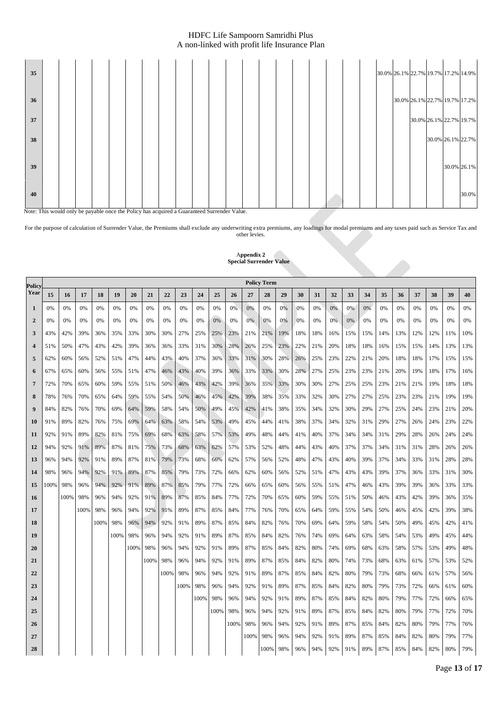

Note: This would only be payable once the Policy has acquired a Guaranteed Surrender Value.

For the purpose of calculation of Surrender Value, the Premiums shall exclude any underwriting extra premiums, any loadings for modal premiums and any taxes paid such as Service Tax and other levies.

|                  |      |      |      |      |      |      |      |      |      |      |      |      | special surrender value |                    |     |     |     |     |       |     |     |     |     |       |     |     |
|------------------|------|------|------|------|------|------|------|------|------|------|------|------|-------------------------|--------------------|-----|-----|-----|-----|-------|-----|-----|-----|-----|-------|-----|-----|
| Policy           |      |      |      |      |      |      |      |      |      |      |      |      |                         | <b>Policy Term</b> |     |     |     |     |       |     |     |     |     |       |     |     |
| Year             | 15   | 16   | 17   | 18   | 19   | 20   | 21   | 22   | 23   | 24   | 25   | 26   | 27                      | 28                 | 29  | 30  | 31  | 32  | 33    | 34  | 35  | 36  | 37  | 38    | 39  | 40  |
| 1                | 0%   | 0%   | 0%   | 0%   | 0%   | 0%   | 0%   | 0%   | 0%   | 0%   | 0%   | 0%   | 0%                      | 0%                 | 0%  | 0%  | 0%  | 0%  | 0%    | 0%  | 0%  | 0%  | 0%  | 0%    | 0%  | 0%  |
| $\mathbf{2}$     | 0%   | 0%   | 0%   | 0%   | 0%   | 0%   | 0%   | 0%   | 0%   | 0%   | 0%   | 0%   | 0%                      | 0%                 | 0%  | 0%  | 0%  | 0%  | $0\%$ | 0%  | 0%  | 0%  | 0%  | $0\%$ | 0%  | 0%  |
| 3                | 43%  | 42%  | 39%  | 36%  | 35%  | 33%  | 30%  | 30%  | 27%  | 25%  | 25%  | 23%  | 21%                     | 21%                | 19% | 18% | 18% | 16% | 15%   | 15% | 14% | 13% | 12% | 12%   | 11% | 10% |
| $\boldsymbol{4}$ | 51%  | 50%  | 47%  | 43%  | 42%  | 39%  | 36%  | 36%  | 33%  | 31%  | 30%  | 28%  | 26%                     | 25%                | 23% | 22% | 21% | 20% | 18%   | 18% | 16% | 15% | 15% | 14%   | 13% | 13% |
| 5                | 62%  | 60%  | 56%  | 52%  | 51%  | 47%  | 44%  | 43%  | 40%  | 37%  | 36%  | 33%  | 31%                     | 30%                | 28% | 26% | 25% | 23% | 22%   | 21% | 20% | 18% | 18% | 17%   | 15% | 15% |
| 6                | 67%  | 65%  | 60%  | 56%  | 55%  | 51%  | 47%  | 46%  | 43%  | 40%  | 39%  | 36%  | 33%                     | 33%                | 30% | 28% | 27% | 25% | 23%   | 23% | 21% | 20% | 19% | 18%   | 17% | 16% |
| $\overline{7}$   | 72%  | 70%  | 65%  | 60%  | 59%  | 55%  | 51%  | 50%  | 46%  | 43%  | 42%  | 39%  | 36%                     | 35%                | 33% | 30% | 30% | 27% | 25%   | 25% | 23% | 21% | 21% | 19%   | 18% | 18% |
| 8                | 78%  | 76%  | 70%  | 65%  | 64%  | 59%  | 55%  | 54%  | 50%  | 46%  | 45%  | 42%  | 39%                     | 38%                | 35% | 33% | 32% | 30% | 27%   | 27% | 25% | 23% | 23% | 21%   | 19% | 19% |
| 9                | 84%  | 82%  | 76%  | 70%  | 69%  | 64%  | 59%  | 58%  | 54%  | 50%  | 49%  | 45%  | 42%                     | 41%                | 38% | 35% | 34% | 32% | 30%   | 29% | 27% | 25% | 24% | 23%   | 21% | 20% |
| 10               | 91%  | 89%  | 82%  | 76%  | 75%  | 69%  | 64%  | 63%  | 58%  | 54%  | 53%  | 49%  | 45%                     | 44%                | 41% | 38% | 37% | 34% | 32%   | 31% | 29% | 27% | 26% | 24%   | 23% | 22% |
| 11               | 92%  | 91%  | 89%  | 82%  | 81%  | 75%  | 69%  | 68%  | 63%  | 58%  | 57%  | 53%  | 49%                     | 48%                | 44% | 41% | 40% | 37% | 34%   | 34% | 31% | 29% | 28% | 26%   | 24% | 24% |
| 12               | 94%  | 92%  | 91%  | 89%  | 87%  | 81%  | 75%  | 73%  | 68%  | 63%  | 62%  | 57%  | 53%                     | 52%                | 48% | 44% | 43% | 40% | 37%   | 37% | 34% | 31% | 31% | 28%   | 26% | 26% |
| 13               | 96%  | 94%  | 92%  | 91%  | 89%  | 87%  | 81%  | 79%  | 73%  | 68%  | 66%  | 62%  | 57%                     | 56%                | 52% | 48% | 47% | 43% | 40%   | 39% | 37% | 34% | 33% | 31%   | 28% | 28% |
| 14               | 98%  | 96%  | 94%  | 92%  | 91%  | 89%  | 87%  | 85%  | 79%  | 73%  | 72%  | 66%  | 62%                     | 60%                | 56% | 52% | 51% | 47% | 43%   | 43% | 39% | 37% | 36% | 33%   | 31% | 30% |
| 15               | 100% | 98%  | 96%  | 94%  | 92%  | 91%  | 89%  | 87%  | 85%  | 79%  | 77%  | 72%  | 66%                     | 65%                | 60% | 56% | 55% | 51% | 47%   | 46% | 43% | 39% | 39% | 36%   | 33% | 33% |
| 16               |      | 100% | 98%  | 96%  | 94%  | 92%  | 91%  | 89%  | 87%  | 85%  | 84%  | 77%  | 72%                     | 70%                | 65% | 60% | 59% | 55% | 51%   | 50% | 46% | 43% | 42% | 39%   | 36% | 35% |
| 17               |      |      | 100% | 98%  | 96%  | 94%  | 92%  | 91%  | 89%  | 87%  | 85%  | 84%  | 77%                     | 76%                | 70% | 65% | 64% | 59% | 55%   | 54% | 50% | 46% | 45% | 42%   | 39% | 38% |
| 18               |      |      |      | 100% | 98%  | 96%  | 94%  | 92%  | 91%  | 89%  | 87%  | 85%  | 84%                     | 82%                | 76% | 70% | 69% | 64% | 59%   | 58% | 54% | 50% | 49% | 45%   | 42% | 41% |
| 19               |      |      |      |      | 100% | 98%  | 96%  | 94%  | 92%  | 91%  | 89%  | 87%  | 85%                     | 84%                | 82% | 76% | 74% | 69% | 64%   | 63% | 58% | 54% | 53% | 49%   | 45% | 44% |
| 20               |      |      |      |      |      | 100% | 98%  | 96%  | 94%  | 92%  | 91%  | 89%  | 87%                     | 85%                | 84% | 82% | 80% | 74% | 69%   | 68% | 63% | 58% | 57% | 53%   | 49% | 48% |
| 21               |      |      |      |      |      |      | 100% | 98%  | 96%  | 94%  | 92%  | 91%  | 89%                     | 87%                | 85% | 84% | 82% | 80% | 74%   | 73% | 68% | 63% | 61% | 57%   | 53% | 52% |
| 22               |      |      |      |      |      |      |      | 100% | 98%  | 96%  | 94%  | 92%  | 91%                     | 89%                | 87% | 85% | 84% | 82% | 80%   | 79% | 73% | 68% | 66% | 61%   | 57% | 56% |
| 23               |      |      |      |      |      |      |      |      | 100% | 98%  | 96%  | 94%  | 92%                     | 91%                | 89% | 87% | 85% | 84% | 82%   | 80% | 79% | 73% | 72% | 66%   | 61% | 60% |
| 24               |      |      |      |      |      |      |      |      |      | 100% | 98%  | 96%  | 94%                     | 92%                | 91% | 89% | 87% | 85% | 84%   | 82% | 80% | 79% | 77% | 72%   | 66% | 65% |
| 25               |      |      |      |      |      |      |      |      |      |      | 100% | 98%  | 96%                     | 94%                | 92% | 91% | 89% | 87% | 85%   | 84% | 82% | 80% | 79% | 77%   | 72% | 70% |
| 26               |      |      |      |      |      |      |      |      |      |      |      | 100% | 98%                     | 96%                | 94% | 92% | 91% | 89% | 87%   | 85% | 84% | 82% | 80% | 79%   | 77% | 76% |
| 27               |      |      |      |      |      |      |      |      |      |      |      |      | 100%                    | 98%                | 96% | 94% | 92% | 91% | 89%   | 87% | 85% | 84% | 82% | 80%   | 79% | 77% |
| 28               |      |      |      |      |      |      |      |      |      |      |      |      |                         | 100%               | 98% | 96% | 94% | 92% | 91%   | 89% | 87% | 85% | 84% | 82%   | 80% | 79% |

A**ppendix 2 Special Surrender Value**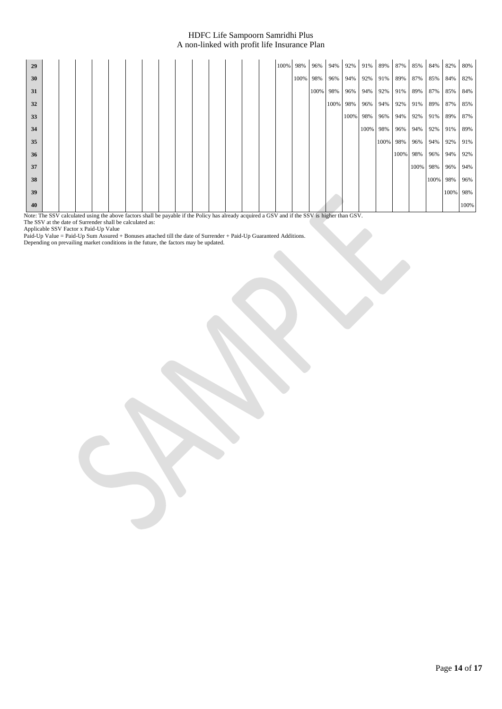| 29 |  |  |  |  |  |  |  | 100% | 98%      | 96%  | 94%      | 92%      | 91%      | 89% | 87%          | 85%  | 84%      | 82%      | 80%  |
|----|--|--|--|--|--|--|--|------|----------|------|----------|----------|----------|-----|--------------|------|----------|----------|------|
| 30 |  |  |  |  |  |  |  |      | 100% 98% |      | 96%      | 94%      | 92%      | 91% | 89%          | 87%  | 85%      | 84%      | 82%  |
| 31 |  |  |  |  |  |  |  |      |          | 100% | 98%      | 96%      | 94%      | 92% | 91%          | 89%  | 87%      | 85%      | 84%  |
| 32 |  |  |  |  |  |  |  |      |          |      | 100% 98% |          | 96%      | 94% | 92%          | 91%  | 89%      | 87%      | 85%  |
| 33 |  |  |  |  |  |  |  |      |          |      |          | 100% 98% |          | 96% | 94% 92%      |      | 91%      | 89%      | 87%  |
| 34 |  |  |  |  |  |  |  |      |          |      |          |          | 100% 98% |     | 96% 94%      |      | 92% 91%  |          | 89%  |
| 35 |  |  |  |  |  |  |  |      |          |      |          |          |          |     | 100% 98% 96% |      | 94% 92%  |          | 91%  |
| 36 |  |  |  |  |  |  |  |      |          |      |          |          |          |     | 100% 98%     |      | 96% 94%  |          | 92%  |
| 37 |  |  |  |  |  |  |  |      |          |      |          |          |          |     |              | 100% | 98%      | 96%      | 94%  |
| 38 |  |  |  |  |  |  |  |      |          |      |          |          |          |     |              |      | 100% 98% |          | 96%  |
| 39 |  |  |  |  |  |  |  |      |          |      |          |          |          |     |              |      |          | 100% 98% |      |
| 40 |  |  |  |  |  |  |  |      |          |      |          |          |          |     |              |      |          |          | 100% |

Note: The SSV calculated using the above factors shall be payable if the Policy has already acquired a GSV and if the SSV is higher than GSV.

The SSV at the date of Surrender shall be calculated as:

Applicable SSV Factor x Paid-Up Value

Paid-Up Value = Paid-Up Sum Assured + Bonuses attached till the date of Surrender + Paid-Up Guaranteed Additions.

Depending on prevailing market conditions in the future, the factors may be updated.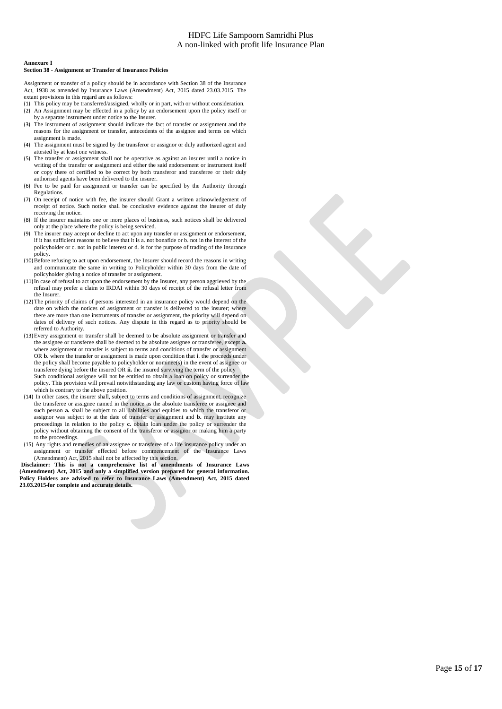#### **Annexure I**

#### **Section 38 - Assignment or Transfer of Insurance Policies**

Assignment or transfer of a policy should be in accordance with Section 38 of the Insurance Act, 1938 as amended by Insurance Laws (Amendment) Act, 2015 dated 23.03.2015. The extant provisions in this regard are as follows:

- This policy may be transferred/assigned, wholly or in part, with or without consideration.
- An Assignment may be effected in a policy by an endorsement upon the policy itself or by a separate instrument under notice to the Insurer.
- (3) The instrument of assignment should indicate the fact of transfer or assignment and the reasons for the assignment or transfer, antecedents of the assignee and terms on which assignment is made.
- (4) The assignment must be signed by the transferor or assignor or duly authorized agent and attested by at least one witness.
- (5) The transfer or assignment shall not be operative as against an insurer until a notice in writing of the transfer or assignment and either the said endorsement or instrument itself or copy there of certified to be correct by both transferor and transferee or their duly authorised agents have been delivered to the insurer.
- (6) Fee to be paid for assignment or transfer can be specified by the Authority through Regulations.
- (7) On receipt of notice with fee, the insurer should Grant a written acknowledgement of receipt of notice. Such notice shall be conclusive evidence against the insurer of duly receiving the notice.
- (8) If the insurer maintains one or more places of business, such notices shall be delivered only at the place where the policy is being serviced.
- The insurer may accept or decline to act upon any transfer or assignment or endorsement, if it has sufficient reasons to believe that it is a. not bonafide or b. not in the interest of the policyholder or c. not in public interest or d. is for the purpose of trading of the insurance nolicy.
- (10)Before refusing to act upon endorsement, the Insurer should record the reasons in writing and communicate the same in writing to Policyholder within 30 days from the date of policyholder giving a notice of transfer or assignment.
- (11)In case of refusal to act upon the endorsement by the Insurer, any person aggrieved by the refusal may prefer a claim to IRDAI within 30 days of receipt of the refusal letter from the Insurer.
- (12)The priority of claims of persons interested in an insurance policy would depend on the date on which the notices of assignment or transfer is delivered to the insurer; where there are more than one instruments of transfer or assignment, the priority will depend on dates of delivery of such notices. Any dispute in this regard as to priority should be referred to Authority.
- (13)Every assignment or transfer shall be deemed to be absolute assignment or transfer and the assignee or transferee shall be deemed to be absolute assignee or transferee, except **a.** where assignment or transfer is subject to terms and conditions of transfer or assignment OR **b**. where the transfer or assignment is made upon condition that **i**. the proceeds under the policy shall become payable to policyholder or nominee(s) in the event of assignee or transferee dying before the insured OR **ii.** the insured surviving the term of the policy Such conditional assignee will not be entitled to obtain a loan on policy or surrender the policy. This provision will prevail notwithstanding any law or custom having force of law which is contrary to the above position.
- (14) In other cases, the insurer shall, subject to terms and conditions of assignment, recognize the transferee or assignee named in the notice as the absolute transferee or assignee and such person **a.** shall be subject to all liabilities and equities to which the transferor or assignor was subject to at the date of transfer or assignment and **b.** may institute any proceedings in relation to the policy **c.** obtain loan under the policy or surrender the policy without obtaining the consent of the transferor or assignor or making him a party to the proceedings.
- (15) Any rights and remedies of an assignee or transferee of a life insurance policy under an assignment or transfer effected before commencement of the Insurance Laws (Amendment) Act, 2015 shall not be affected by this section.

**Disclaimer: This is not a comprehensive list of amendments of Insurance Laws (Amendment) Act, 2015 and only a simplified version prepared for general information. Policy Holders are advised to refer to Insurance Laws (Amendment) Act, 2015 dated 23.03.2015 for complete and accurate details.**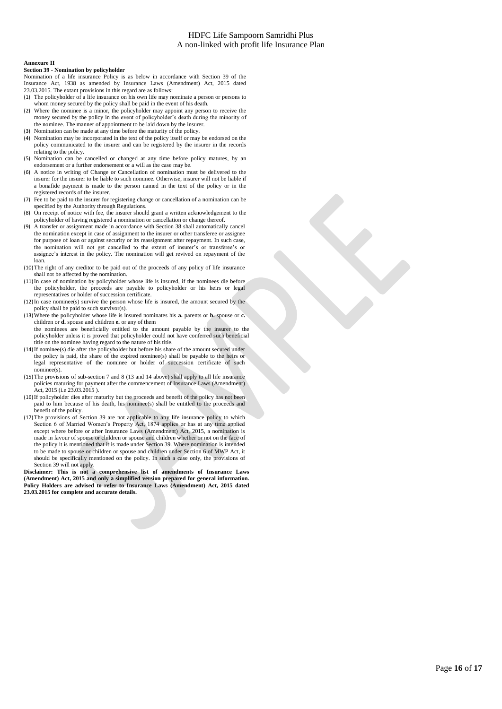#### **Annexure II**

#### **Section 39 - Nomination by policyholder**

Nomination of a life insurance Policy is as below in accordance with Section 39 of the Insurance Act, 1938 as amended by Insurance Laws (Amendment) Act, 2015 dated 23.03.2015. The extant provisions in this regard are as follows:

- (1) The policyholder of a life insurance on his own life may nominate a person or persons to whom money secured by the policy shall be paid in the event of his death.
- (2) Where the nominee is a minor, the policyholder may appoint any person to receive the money secured by the policy in the event of policyholder's death during the minority of the nominee. The manner of appointment to be laid down by the insurer.
- (3) Nomination can be made at any time before the maturity of the policy.
- (4) Nomination may be incorporated in the text of the policy itself or may be endorsed on the policy communicated to the insurer and can be registered by the insurer in the records relating to the policy.
- (5) Nomination can be cancelled or changed at any time before policy matures, by an endorsement or a further endorsement or a will as the case may be.
- (6) A notice in writing of Change or Cancellation of nomination must be delivered to the insurer for the insurer to be liable to such nominee. Otherwise, insurer will not be liable if a bonafide payment is made to the person named in the text of the policy or in the registered records of the insurer.
- (7) Fee to be paid to the insurer for registering change or cancellation of a nomination can be specified by the Authority through Regulations.
- (8) On receipt of notice with fee, the insurer should grant a written acknowledgement to the policyholder of having registered a nomination or cancellation or change thereof.
- (9) A transfer or assignment made in accordance with Section 38 shall automatically cancel the nomination except in case of assignment to the insurer or other transferee or assignee for purpose of loan or against security or its reassignment after repayment. In such case, the nomination will not get cancelled to the extent of insurer's or transferee's or assignee's interest in the policy. The nomination will get revived on repayment of the loan.
- (10)The right of any creditor to be paid out of the proceeds of any policy of life insurance shall not be affected by the nomination.
- (11)In case of nomination by policyholder whose life is insured, if the nominees die before the policyholder, the proceeds are payable to policyholder or his heirs or legal representatives or holder of succession certificate.
- (12)In case nominee(s) survive the person whose life is insured, the amount secured by the policy shall be paid to such survivor(s).
- (13)Where the policyholder whose life is insured nominates his **a.** parents or **b.** spouse or **c.** children or **d.** spouse and children **e.** or any of them the nominees are beneficially entitled to the amount payable by the insurer to the policyholder unless it is proved that policyholder could not have conferred such beneficial title on the nominee having regard to the nature of his title.
- (14)If nominee(s) die after the policyholder but before his share of the amount secured under the policy is paid, the share of the expired nominee(s) shall be payable to the heirs or legal representative of the nominee or holder of succession certificate of such nominee(s).
- (15)The provisions of sub-section 7 and 8 (13 and 14 above) shall apply to all life insurance policies maturing for payment after the commencement of Insurance Laws (Amendment) Act, 2015 (i.e 23.03.2015 ).
- (16)If policyholder dies after maturity but the proceeds and benefit of the policy has not been paid to him because of his death, his nominee(s) shall be entitled to the proceeds and benefit of the policy.
- (17)The provisions of Section 39 are not applicable to any life insurance policy to which Section 6 of Married Women's Property Act, 1874 applies or has at any time applied except where before or after Insurance Laws (Amendment) Act, 2015, a nomination is made in favour of spouse or children or spouse and children whether or not on the face of the policy it is mentioned that it is made under Section 39. Where nomination is intended to be made to spouse or children or spouse and children under Section 6 of MWP Act, it should be specifically mentioned on the policy. In such a case only, the provisions of Section 39 will not apply.

**Disclaimer: This is not a comprehensive list of amendments of Insurance Laws (Amendment) Act, 2015 and only a simplified version prepared for general information. Policy Holders are advised to refer to Insurance Laws (Amendment) Act, 2015 dated 23.03.2015 for complete and accurate details.**